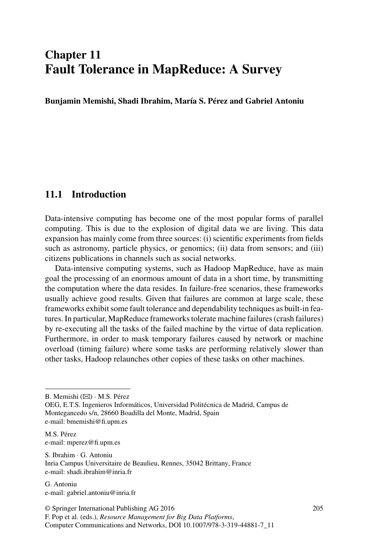# **Chapter 11 Fault Tolerance in MapReduce: A Survey**

**Bunjamin Memishi, Shadi Ibrahim, María S. Pérez and Gabriel Antoniu**

## **11.1 Introduction**

Data-intensive computing has become one of the most popular forms of parallel computing. This is due to the explosion of digital data we are living. This data expansion has mainly come from three sources: (i) scientific experiments from fields such as astronomy, particle physics, or genomics; (ii) data from sensors; and (iii) citizens publications in channels such as social networks.

Data-intensive computing systems, such as Hadoop MapReduce, have as main goal the processing of an enormous amount of data in a short time, by transmitting the computation where the data resides. In failure-free scenarios, these frameworks usually achieve good results. Given that failures are common at large scale, these frameworks exhibit some fault tolerance and dependability techniques as built-in features. In particular, MapReduce frameworks tolerate machine failures (crash failures) by re-executing all the tasks of the failed machine by the virtue of data replication. Furthermore, in order to mask temporary failures caused by network or machine overload (timing failure) where some tasks are performing relatively slower than other tasks, Hadoop relaunches other copies of these tasks on other machines.

B. Memishi (B) · M.S. Pérez OEG, E.T.S. Ingenieros Informáticos, Universidad Politécnica de Madrid, Campus de Montegancedo s/n, 28660 Boadilla del Monte, Madrid, Spain e-mail: bmemishi@fi.upm.es

M.S. Pérez e-mail: mperez@fi.upm.es

S. Ibrahim · G. Antoniu Inria Campus Universitaire de Beaulieu, Rennes, 35042 Brittany, France e-mail: shadi.ibrahim@inria.fr

G. Antoniu e-mail: gabriel.antoniu@inria.fr

© Springer International Publishing AG 2016 F. Pop et al. (eds.), *Resource Management for Big Data Platforms*, Computer Communications and Networks, DOI 10.1007/978-3-319-44881-7\_11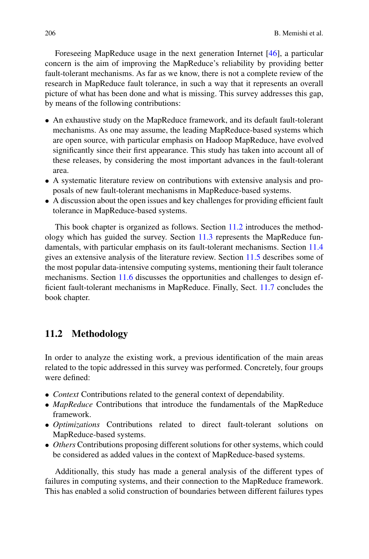Foreseeing MapReduce usage in the next generation Internet [\[46](#page-33-0)], a particular concern is the aim of improving the MapReduce's reliability by providing better fault-tolerant mechanisms. As far as we know, there is not a complete review of the research in MapReduce fault tolerance, in such a way that it represents an overall picture of what has been done and what is missing. This survey addresses this gap, by means of the following contributions:

- An exhaustive study on the MapReduce framework, and its default fault-tolerant mechanisms. As one may assume, the leading MapReduce-based systems which are open source, with particular emphasis on Hadoop MapReduce, have evolved significantly since their first appearance. This study has taken into account all of these releases, by considering the most important advances in the fault-tolerant area.
- A systematic literature review on contributions with extensive analysis and proposals of new fault-tolerant mechanisms in MapReduce-based systems.
- A discussion about the open issues and key challenges for providing efficient fault tolerance in MapReduce-based systems.

This book chapter is organized as follows. Section [11.2](#page-1-0) introduces the methodology which has guided the survey. Section [11.3](#page-2-0) represents the MapReduce fundamentals, with particular emphasis on its fault-tolerant mechanisms. Section [11.4](#page-6-0) gives an extensive analysis of the literature review. Section [11.5](#page-22-0) describes some of the most popular data-intensive computing systems, mentioning their fault tolerance mechanisms. Section [11.6](#page-29-0) discusses the opportunities and challenges to design efficient fault-tolerant mechanisms in MapReduce. Finally, Sect. [11.7](#page-30-0) concludes the book chapter.

## <span id="page-1-0"></span>**11.2 Methodology**

In order to analyze the existing work, a previous identification of the main areas related to the topic addressed in this survey was performed. Concretely, four groups were defined:

- *Context* Contributions related to the general context of dependability.
- *MapReduce* Contributions that introduce the fundamentals of the MapReduce framework.
- *Optimizations* Contributions related to direct fault-tolerant solutions on MapReduce-based systems.
- *Others* Contributions proposing different solutions for other systems, which could be considered as added values in the context of MapReduce-based systems.

Additionally, this study has made a general analysis of the different types of failures in computing systems, and their connection to the MapReduce framework. This has enabled a solid construction of boundaries between different failures types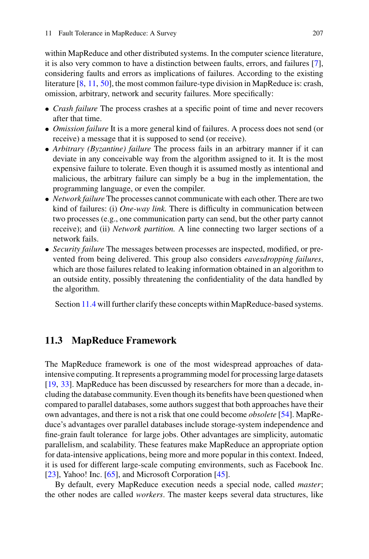within MapReduce and other distributed systems. In the computer science literature, it is also very common to have a distinction between faults, errors, and failures [\[7](#page-31-0)], considering faults and errors as implications of failures. According to the existing literature [\[8,](#page-31-1) [11,](#page-31-2) [50\]](#page-34-0), the most common failure-type division in MapReduce is: crash, omission, arbitrary, network and security failures. More specifically:

- *Crash failure* The process crashes at a specific point of time and never recovers after that time.
- *Omission failure* It is a more general kind of failures. A process does not send (or receive) a message that it is supposed to send (or receive).
- *Arbitrary (Byzantine) failure* The process fails in an arbitrary manner if it can deviate in any conceivable way from the algorithm assigned to it. It is the most expensive failure to tolerate. Even though it is assumed mostly as intentional and malicious, the arbitrary failure can simply be a bug in the implementation, the programming language, or even the compiler.
- *Network failure* The processes cannot communicate with each other. There are two kind of failures: (i) *One-way link.* There is difficulty in communication between two processes (e.g., one communication party can send, but the other party cannot receive); and (ii) *Network partition.* A line connecting two larger sections of a network fails.
- *Security failure* The messages between processes are inspected, modified, or prevented from being delivered. This group also considers *eavesdropping failures*, which are those failures related to leaking information obtained in an algorithm to an outside entity, possibly threatening the confidentiality of the data handled by the algorithm.

Section [11.4](#page-6-0) will further clarify these concepts within MapReduce-based systems.

## <span id="page-2-0"></span>**11.3 MapReduce Framework**

The MapReduce framework is one of the most widespread approaches of dataintensive computing. It represents a programming model for processing large datasets [\[19,](#page-32-0) [33](#page-33-1)]. MapReduce has been discussed by researchers for more than a decade, including the database community. Even though its benefits have been questioned when compared to parallel databases, some authors suggest that both approaches have their own advantages, and there is not a risk that one could become *obsolete* [\[54\]](#page-34-1). MapReduce's advantages over parallel databases include storage-system independence and fine-grain fault tolerance for large jobs. Other advantages are simplicity, automatic parallelism, and scalability. These features make MapReduce an appropriate option for data-intensive applications, being more and more popular in this context. Indeed, it is used for different large-scale computing environments, such as Facebook Inc. [\[23\]](#page-32-1), Yahoo! Inc. [\[65\]](#page-35-0), and Microsoft Corporation [\[45](#page-33-2)].

By default, every MapReduce execution needs a special node, called *master*; the other nodes are called *workers*. The master keeps several data structures, like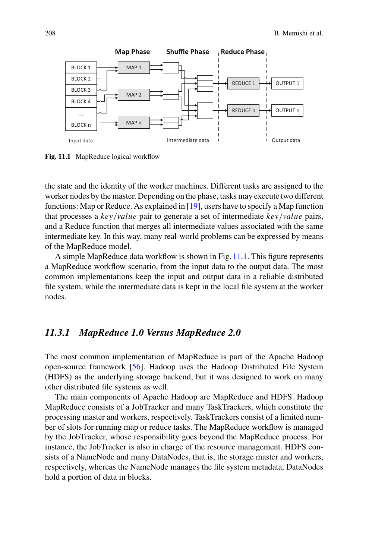

<span id="page-3-0"></span>**Fig. 11.1** MapReduce logical workflow

the state and the identity of the worker machines. Different tasks are assigned to the worker nodes by the master. Depending on the phase, tasks may execute two different functions: Map or Reduce. As explained in [\[19\]](#page-32-0), users have to specify a Map function that processes a *key/value* pair to generate a set of intermediate *key/value* pairs, and a Reduce function that merges all intermediate values associated with the same intermediate key. In this way, many real-world problems can be expressed by means of the MapReduce model.

A simple MapReduce data workflow is shown in Fig. [11.1.](#page-3-0) This figure represents a MapReduce workflow scenario, from the input data to the output data. The most common implementations keep the input and output data in a reliable distributed file system, while the intermediate data is kept in the local file system at the worker nodes.

### *11.3.1 MapReduce 1.0 Versus MapReduce 2.0*

The most common implementation of MapReduce is part of the Apache Hadoop open-source framework [\[56](#page-34-2)]. Hadoop uses the Hadoop Distributed File System (HDFS) as the underlying storage backend, but it was designed to work on many other distributed file systems as well.

The main components of Apache Hadoop are MapReduce and HDFS. Hadoop MapReduce consists of a JobTracker and many TaskTrackers, which constitute the processing master and workers, respectively. TaskTrackers consist of a limited number of slots for running map or reduce tasks. The MapReduce workflow is managed by the JobTracker, whose responsibility goes beyond the MapReduce process. For instance, the JobTracker is also in charge of the resource management. HDFS consists of a NameNode and many DataNodes, that is, the storage master and workers, respectively, whereas the NameNode manages the file system metadata, DataNodes hold a portion of data in blocks.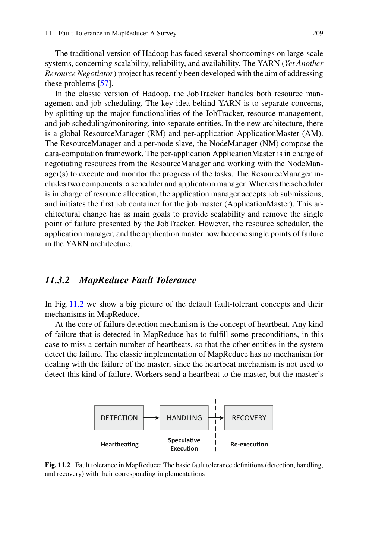The traditional version of Hadoop has faced several shortcomings on large-scale systems, concerning scalability, reliability, and availability. The YARN (*Yet Another Resource Negotiator*) project has recently been developed with the aim of addressing these problems [\[57](#page-34-3)].

In the classic version of Hadoop, the JobTracker handles both resource management and job scheduling. The key idea behind YARN is to separate concerns, by splitting up the major functionalities of the JobTracker, resource management, and job scheduling/monitoring, into separate entities. In the new architecture, there is a global ResourceManager (RM) and per-application ApplicationMaster (AM). The ResourceManager and a per-node slave, the NodeManager (NM) compose the data-computation framework. The per-application ApplicationMaster is in charge of negotiating resources from the ResourceManager and working with the NodeManager(s) to execute and monitor the progress of the tasks. The ResourceManager includes two components: a scheduler and application manager. Whereas the scheduler is in charge of resource allocation, the application manager accepts job submissions, and initiates the first job container for the job master (ApplicationMaster). This architectural change has as main goals to provide scalability and remove the single point of failure presented by the JobTracker. However, the resource scheduler, the application manager, and the application master now become single points of failure in the YARN architecture.

## *11.3.2 MapReduce Fault Tolerance*

In Fig. [11.2](#page-4-0) we show a big picture of the default fault-tolerant concepts and their mechanisms in MapReduce.

At the core of failure detection mechanism is the concept of heartbeat. Any kind of failure that is detected in MapReduce has to fulfill some preconditions, in this case to miss a certain number of heartbeats, so that the other entities in the system detect the failure. The classic implementation of MapReduce has no mechanism for dealing with the failure of the master, since the heartbeat mechanism is not used to detect this kind of failure. Workers send a heartbeat to the master, but the master's



<span id="page-4-0"></span>**Fig. 11.2** Fault tolerance in MapReduce: The basic fault tolerance definitions (detection, handling, and recovery) with their corresponding implementations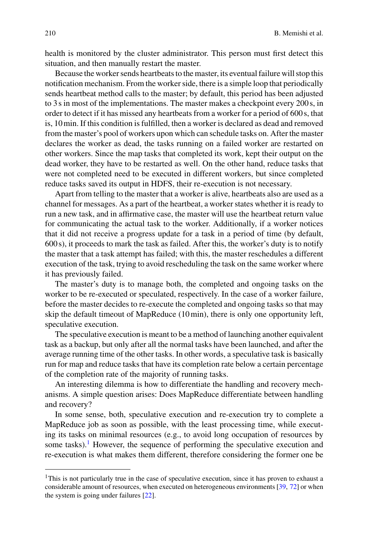health is monitored by the cluster administrator. This person must first detect this situation, and then manually restart the master.

Because the worker sends heartbeats to the master, its eventual failure will stop this notification mechanism. From the worker side, there is a simple loop that periodically sends heartbeat method calls to the master; by default, this period has been adjusted to 3 s in most of the implementations. The master makes a checkpoint every 200 s, in order to detect if it has missed any heartbeats from a worker for a period of 600 s, that is, 10 min. If this condition is fulfilled, then a worker is declared as dead and removed from the master's pool of workers upon which can schedule tasks on. After the master declares the worker as dead, the tasks running on a failed worker are restarted on other workers. Since the map tasks that completed its work, kept their output on the dead worker, they have to be restarted as well. On the other hand, reduce tasks that were not completed need to be executed in different workers, but since completed reduce tasks saved its output in HDFS, their re-execution is not necessary.

Apart from telling to the master that a worker is alive, heartbeats also are used as a channel for messages. As a part of the heartbeat, a worker states whether it is ready to run a new task, and in affirmative case, the master will use the heartbeat return value for communicating the actual task to the worker. Additionally, if a worker notices that it did not receive a progress update for a task in a period of time (by default, 600 s), it proceeds to mark the task as failed. After this, the worker's duty is to notify the master that a task attempt has failed; with this, the master reschedules a different execution of the task, trying to avoid rescheduling the task on the same worker where it has previously failed.

The master's duty is to manage both, the completed and ongoing tasks on the worker to be re-executed or speculated, respectively. In the case of a worker failure, before the master decides to re-execute the completed and ongoing tasks so that may skip the default timeout of MapReduce (10 min), there is only one opportunity left, speculative execution.

The speculative execution is meant to be a method of launching another equivalent task as a backup, but only after all the normal tasks have been launched, and after the average running time of the other tasks. In other words, a speculative task is basically run for map and reduce tasks that have its completion rate below a certain percentage of the completion rate of the majority of running tasks.

An interesting dilemma is how to differentiate the handling and recovery mechanisms. A simple question arises: Does MapReduce differentiate between handling and recovery?

In some sense, both, speculative execution and re-execution try to complete a MapReduce job as soon as possible, with the least processing time, while executing its tasks on minimal resources (e.g., to avoid long occupation of resources by some tasks).<sup>[1](#page-5-0)</sup> However, the sequence of performing the speculative execution and re-execution is what makes them different, therefore considering the former one be

<span id="page-5-0"></span><sup>&</sup>lt;sup>1</sup>This is not particularly true in the case of speculative execution, since it has proven to exhaust a considerable amount of resources, when executed on heterogeneous environments [\[39,](#page-33-3) [72\]](#page-35-1) or when the system is going under failures [\[22\]](#page-32-2).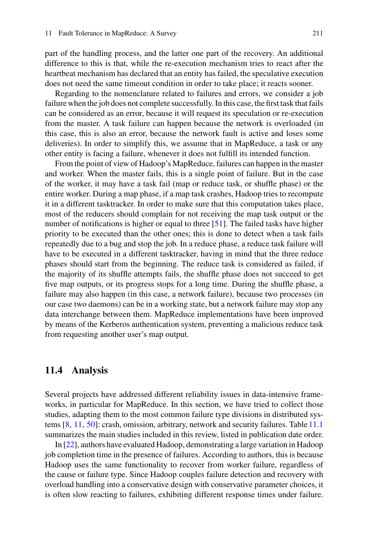part of the handling process, and the latter one part of the recovery. An additional difference to this is that, while the re-execution mechanism tries to react after the heartbeat mechanism has declared that an entity has failed, the speculative execution does not need the same timeout condition in order to take place; it reacts sooner.

Regarding to the nomenclature related to failures and errors, we consider a job failure when the job does not complete successfully. In this case, the first task that fails can be considered as an error, because it will request its speculation or re-execution from the master. A task failure can happen because the network is overloaded (in this case, this is also an error, because the network fault is active and loses some deliveries). In order to simplify this, we assume that in MapReduce, a task or any other entity is facing a failure, whenever it does not fulfill its intended function.

From the point of view of Hadoop's MapReduce, failures can happen in the master and worker. When the master fails, this is a single point of failure. But in the case of the worker, it may have a task fail (map or reduce task, or shuffle phase) or the entire worker. During a map phase, if a map task crashes, Hadoop tries to recompute it in a different tasktracker. In order to make sure that this computation takes place, most of the reducers should complain for not receiving the map task output or the number of notifications is higher or equal to three [\[51\]](#page-34-4). The failed tasks have higher priority to be executed than the other ones; this is done to detect when a task fails repeatedly due to a bug and stop the job. In a reduce phase, a reduce task failure will have to be executed in a different tasktracker, having in mind that the three reduce phases should start from the beginning. The reduce task is considered as failed, if the majority of its shuffle attempts fails, the shuffle phase does not succeed to get five map outputs, or its progress stops for a long time. During the shuffle phase, a failure may also happen (in this case, a network failure), because two processes (in our case two daemons) can be in a working state, but a network failure may stop any data interchange between them. MapReduce implementations have been improved by means of the Kerberos authentication system, preventing a malicious reduce task from requesting another user's map output.

#### <span id="page-6-0"></span>**11.4 Analysis**

Several projects have addressed different reliability issues in data-intensive frameworks, in particular for MapReduce. In this section, we have tried to collect those studies, adapting them to the most common failure type divisions in distributed systems [\[8,](#page-31-1) [11](#page-31-2), [50](#page-34-0)]: crash, omission, arbitrary, network and security failures. Table [11.1](#page-7-0) summarizes the main studies included in this review, listed in publication date order.

In [\[22\]](#page-32-2), authors have evaluated Hadoop, demonstrating a large variation in Hadoop job completion time in the presence of failures. According to authors, this is because Hadoop uses the same functionality to recover from worker failure, regardless of the cause or failure type. Since Hadoop couples failure detection and recovery with overload handling into a conservative design with conservative parameter choices, it is often slow reacting to failures, exhibiting different response times under failure.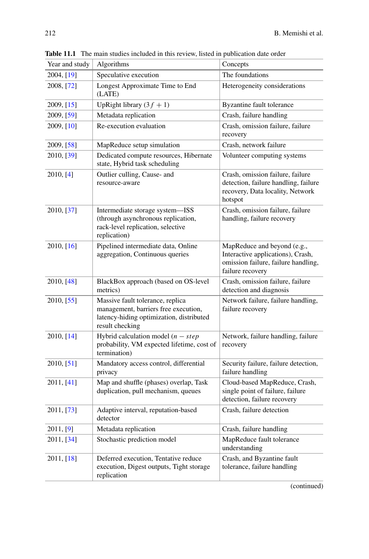| Year and study | Algorithms                                                                                                                              | Concepts                                                                                                                    |
|----------------|-----------------------------------------------------------------------------------------------------------------------------------------|-----------------------------------------------------------------------------------------------------------------------------|
| 2004, [19]     | Speculative execution                                                                                                                   | The foundations                                                                                                             |
| 2008, [72]     | Longest Approximate Time to End<br>(LATE)                                                                                               | Heterogeneity considerations                                                                                                |
| 2009, [15]     | UpRight library $(3f + 1)$                                                                                                              | Byzantine fault tolerance                                                                                                   |
| 2009, [59]     | Metadata replication                                                                                                                    | Crash, failure handling                                                                                                     |
| 2009, [10]     | Re-execution evaluation                                                                                                                 | Crash, omission failure, failure<br>recovery                                                                                |
| 2009, [58]     | MapReduce setup simulation                                                                                                              | Crash, network failure                                                                                                      |
| 2010, [39]     | Dedicated compute resources, Hibernate<br>state, Hybrid task scheduling                                                                 | Volunteer computing systems                                                                                                 |
| 2010, [4]      | Outlier culling, Cause- and<br>resource-aware                                                                                           | Crash, omission failure, failure<br>detection, failure handling, failure<br>recovery, Data locality, Network<br>hotspot     |
| 2010, [37]     | Intermediate storage system-ISS<br>(through asynchronous replication,<br>rack-level replication, selective<br>replication)              | Crash, omission failure, failure<br>handling, failure recovery                                                              |
| 2010, [16]     | Pipelined intermediate data, Online<br>aggregation, Continuous queries                                                                  | MapReduce and beyond (e.g.,<br>Interactive applications), Crash,<br>omission failure, failure handling,<br>failure recovery |
| 2010, [48]     | BlackBox approach (based on OS-level<br>metrics)                                                                                        | Crash, omission failure, failure<br>detection and diagnosis                                                                 |
| 2010, [55]     | Massive fault tolerance, replica<br>management, barriers free execution,<br>latency-hiding optimization, distributed<br>result checking | Network failure, failure handling,<br>failure recovery                                                                      |
| 2010, [14]     | Hybrid calculation model $(n - step)$<br>probability, VM expected lifetime, cost of<br>termination)                                     | Network, failure handling, failure<br>recovery                                                                              |
| 2010, [51]     | Mandatory access control, differential<br>privacy                                                                                       | Security failure, failure detection,<br>failure handling                                                                    |
| 2011, [41]     | Map and shuffle (phases) overlap, Task<br>duplication, pull mechanism, queues                                                           | Cloud-based MapReduce, Crash,<br>single point of failure, failure<br>detection, failure recovery                            |
| 2011, [73]     | Adaptive interval, reputation-based<br>detector                                                                                         | Crash, failure detection                                                                                                    |
| 2011, [9]      | Metadata replication                                                                                                                    | Crash, failure handling                                                                                                     |
| 2011, [34]     | Stochastic prediction model                                                                                                             | MapReduce fault tolerance<br>understanding                                                                                  |
| 2011, [18]     | Deferred execution, Tentative reduce<br>execution, Digest outputs, Tight storage<br>replication                                         | Crash, and Byzantine fault<br>tolerance, failure handling                                                                   |

<span id="page-7-0"></span>Table 11.1 The main studies included in this review, listed in publication date order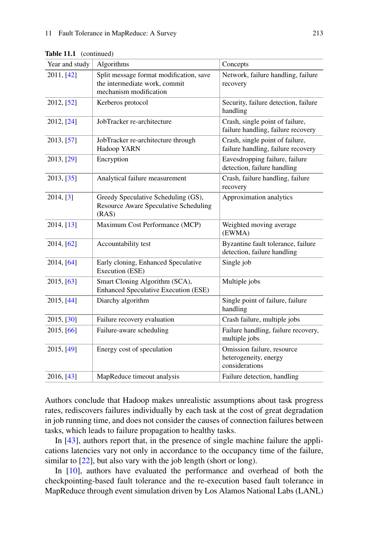| Year and study | Algorithms                                                                                         | Concepts                                                              |
|----------------|----------------------------------------------------------------------------------------------------|-----------------------------------------------------------------------|
| 2011, [42]     | Split message format modification, save<br>the intermediate work, commit<br>mechanism modification | Network, failure handling, failure<br>recovery                        |
| 2012, [52]     | Kerberos protocol                                                                                  | Security, failure detection, failure<br>handling                      |
| 2012, [24]     | JobTracker re-architecture                                                                         | Crash, single point of failure,<br>failure handling, failure recovery |
| 2013, [57]     | JobTracker re-architecture through<br>Hadoop YARN                                                  | Crash, single point of failure,<br>failure handling, failure recovery |
| 2013, [29]     | Encryption                                                                                         | Eavesdropping failure, failure<br>detection, failure handling         |
| 2013, [35]     | Analytical failure measurement                                                                     | Crash, failure handling, failure<br>recovery                          |
| 2014, [3]      | Greedy Speculative Scheduling (GS),<br>Resource Aware Speculative Scheduling<br>(RAS)              | Approximation analytics                                               |
| 2014, [13]     | Maximum Cost Performance (MCP)                                                                     | Weighted moving average<br>(EWMA)                                     |
| 2014, [62]     | Accountability test                                                                                | Byzantine fault tolerance, failure<br>detection, failure handling     |
| 2014, [64]     | Early cloning, Enhanced Speculative<br>Execution (ESE)                                             | Single job                                                            |
| 2015, [63]     | Smart Cloning Algorithm (SCA),<br>Enhanced Speculative Execution (ESE)                             | Multiple jobs                                                         |
| 2015, [44]     | Diarchy algorithm                                                                                  | Single point of failure, failure<br>handling                          |
| 2015, [30]     | Failure recovery evaluation                                                                        | Crash failure, multiple jobs                                          |
| 2015, [66]     | Failure-aware scheduling                                                                           | Failure handling, failure recovery,<br>multiple jobs                  |
| 2015, [49]     | Energy cost of speculation                                                                         | Omission failure, resource<br>heterogeneity, energy<br>considerations |
| 2016, [43]     | MapReduce timeout analysis                                                                         | Failure detection, handling                                           |

**Table 11.1** (continued)

Authors conclude that Hadoop makes unrealistic assumptions about task progress rates, rediscovers failures individually by each task at the cost of great degradation in job running time, and does not consider the causes of connection failures between tasks, which leads to failure propagation to healthy tasks.

In [\[43](#page-33-12)], authors report that, in the presence of single machine failure the applications latencies vary not only in accordance to the occupancy time of the failure, similar to [\[22](#page-32-2)], but also vary with the job length (short or long).

In [\[10](#page-31-3)], authors have evaluated the performance and overhead of both the checkpointing-based fault tolerance and the re-execution based fault tolerance in MapReduce through event simulation driven by Los Alamos National Labs (LANL)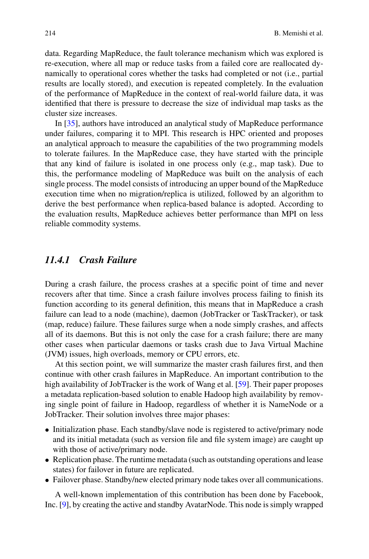data. Regarding MapReduce, the fault tolerance mechanism which was explored is re-execution, where all map or reduce tasks from a failed core are reallocated dynamically to operational cores whether the tasks had completed or not (i.e., partial results are locally stored), and execution is repeated completely. In the evaluation of the performance of MapReduce in the context of real-world failure data, it was identified that there is pressure to decrease the size of individual map tasks as the cluster size increases.

In [\[35\]](#page-33-9), authors have introduced an analytical study of MapReduce performance under failures, comparing it to MPI. This research is HPC oriented and proposes an analytical approach to measure the capabilities of the two programming models to tolerate failures. In the MapReduce case, they have started with the principle that any kind of failure is isolated in one process only (e.g., map task). Due to this, the performance modeling of MapReduce was built on the analysis of each single process. The model consists of introducing an upper bound of the MapReduce execution time when no migration/replica is utilized, followed by an algorithm to derive the best performance when replica-based balance is adopted. According to the evaluation results, MapReduce achieves better performance than MPI on less reliable commodity systems.

# *11.4.1 Crash Failure*

During a crash failure, the process crashes at a specific point of time and never recovers after that time. Since a crash failure involves process failing to finish its function according to its general definition, this means that in MapReduce a crash failure can lead to a node (machine), daemon (JobTracker or TaskTracker), or task (map, reduce) failure. These failures surge when a node simply crashes, and affects all of its daemons. But this is not only the case for a crash failure; there are many other cases when particular daemons or tasks crash due to Java Virtual Machine (JVM) issues, high overloads, memory or CPU errors, etc.

At this section point, we will summarize the master crash failures first, and then continue with other crash failures in MapReduce. An important contribution to the high availability of JobTracker is the work of Wang et al. [\[59\]](#page-34-5). Their paper proposes a metadata replication-based solution to enable Hadoop high availability by removing single point of failure in Hadoop, regardless of whether it is NameNode or a JobTracker. Their solution involves three major phases:

- Initialization phase. Each standby/slave node is registered to active/primary node and its initial metadata (such as version file and file system image) are caught up with those of active/primary node.
- Replication phase. The runtime metadata (such as outstanding operations and lease states) for failover in future are replicated.
- Failover phase. Standby/new elected primary node takes over all communications.

A well-known implementation of this contribution has been done by Facebook, Inc. [\[9\]](#page-31-5), by creating the active and standby AvatarNode. This node is simply wrapped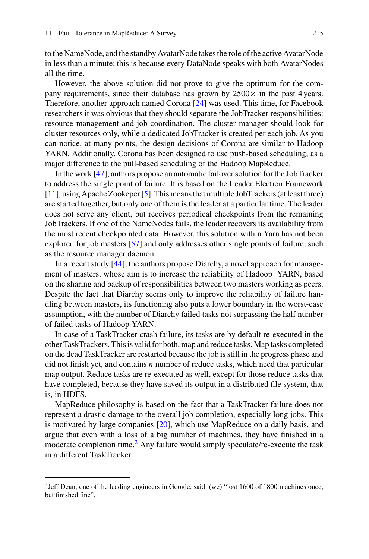to the NameNode, and the standby AvatarNode takes the role of the active AvatarNode in less than a minute; this is because every DataNode speaks with both AvatarNodes all the time.

However, the above solution did not prove to give the optimum for the company requirements, since their database has grown by  $2500 \times$  in the past 4 years. Therefore, another approach named Corona [\[24](#page-32-7)] was used. This time, for Facebook researchers it was obvious that they should separate the JobTracker responsibilities: resource management and job coordination. The cluster manager should look for cluster resources only, while a dedicated JobTracker is created per each job. As you can notice, at many points, the design decisions of Corona are similar to Hadoop YARN. Additionally, Corona has been designed to use push-based scheduling, as a major difference to the pull-based scheduling of the Hadoop MapReduce.

In the work [\[47](#page-34-13)], authors propose an automatic failover solution for the JobTracker to address the single point of failure. It is based on the Leader Election Framework [\[11\]](#page-31-2), using Apache Zookeper [\[5\]](#page-31-7). This means that multiple JobTrackers (at least three) are started together, but only one of them is the leader at a particular time. The leader does not serve any client, but receives periodical checkpoints from the remaining JobTrackers. If one of the NameNodes fails, the leader recovers its availability from the most recent checkpointed data. However, this solution within Yarn has not been explored for job masters [\[57](#page-34-3)] and only addresses other single points of failure, such as the resource manager daemon.

In a recent study  $[44]$ , the authors propose Diarchy, a novel approach for management of masters, whose aim is to increase the reliability of Hadoop YARN, based on the sharing and backup of responsibilities between two masters working as peers. Despite the fact that Diarchy seems only to improve the reliability of failure handling between masters, its functioning also puts a lower boundary in the worst-case assumption, with the number of Diarchy failed tasks not surpassing the half number of failed tasks of Hadoop YARN.

In case of a TaskTracker crash failure, its tasks are by default re-executed in the other TaskTrackers. This is valid for both, map and reduce tasks. Map tasks completed on the dead TaskTracker are restarted because the job is still in the progress phase and did not finish yet, and contains *n* number of reduce tasks, which need that particular map output. Reduce tasks are re-executed as well, except for those reduce tasks that have completed, because they have saved its output in a distributed file system, that is, in HDFS.

MapReduce philosophy is based on the fact that a TaskTracker failure does not represent a drastic damage to the overall job completion, especially long jobs. This is motivated by large companies [\[20\]](#page-32-9), which use MapReduce on a daily basis, and argue that even with a loss of a big number of machines, they have finished in a moderate completion time.<sup>[2](#page-10-0)</sup> Any failure would simply speculate/re-execute the task in a different TaskTracker.

<span id="page-10-0"></span><sup>&</sup>lt;sup>2</sup>Jeff Dean, one of the leading engineers in Google, said: (we) "lost 1600 of 1800 machines once, but finished fine".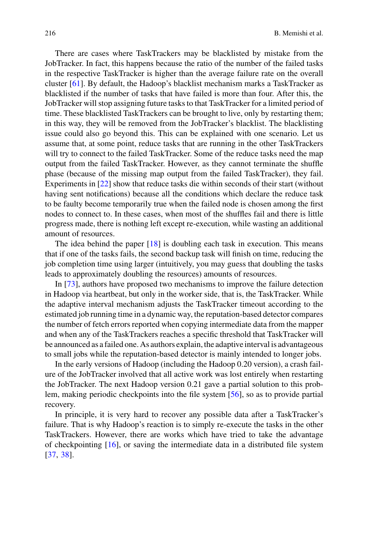There are cases where TaskTrackers may be blacklisted by mistake from the JobTracker. In fact, this happens because the ratio of the number of the failed tasks in the respective TaskTracker is higher than the average failure rate on the overall cluster [\[61](#page-34-14)]. By default, the Hadoop's blacklist mechanism marks a TaskTracker as blacklisted if the number of tasks that have failed is more than four. After this, the JobTracker will stop assigning future tasks to that TaskTracker for a limited period of time. These blacklisted TaskTrackers can be brought to live, only by restarting them; in this way, they will be removed from the JobTracker's blacklist. The blacklisting issue could also go beyond this. This can be explained with one scenario. Let us assume that, at some point, reduce tasks that are running in the other TaskTrackers will try to connect to the failed TaskTracker. Some of the reduce tasks need the map output from the failed TaskTracker. However, as they cannot terminate the shuffle phase (because of the missing map output from the failed TaskTracker), they fail. Experiments in [\[22](#page-32-2)] show that reduce tasks die within seconds of their start (without having sent notifications) because all the conditions which declare the reduce task to be faulty become temporarily true when the failed node is chosen among the first nodes to connect to. In these cases, when most of the shuffles fail and there is little progress made, there is nothing left except re-execution, while wasting an additional amount of resources.

The idea behind the paper  $[18]$  $[18]$  is doubling each task in execution. This means that if one of the tasks fails, the second backup task will finish on time, reducing the job completion time using larger (intuitively, you may guess that doubling the tasks leads to approximately doubling the resources) amounts of resources.

In [\[73\]](#page-35-2), authors have proposed two mechanisms to improve the failure detection in Hadoop via heartbeat, but only in the worker side, that is, the TaskTracker. While the adaptive interval mechanism adjusts the TaskTracker timeout according to the estimated job running time in a dynamic way, the reputation-based detector compares the number of fetch errors reported when copying intermediate data from the mapper and when any of the TaskTrackers reaches a specific threshold that TaskTracker will be announced as a failed one. As authors explain, the adaptive interval is advantageous to small jobs while the reputation-based detector is mainly intended to longer jobs.

In the early versions of Hadoop (including the Hadoop 0.20 version), a crash failure of the JobTracker involved that all active work was lost entirely when restarting the JobTracker. The next Hadoop version 0.21 gave a partial solution to this problem, making periodic checkpoints into the file system [\[56\]](#page-34-2), so as to provide partial recovery.

In principle, it is very hard to recover any possible data after a TaskTracker's failure. That is why Hadoop's reaction is to simply re-execute the tasks in the other TaskTrackers. However, there are works which have tried to take the advantage of checkpointing [\[16](#page-32-4)], or saving the intermediate data in a distributed file system [\[37,](#page-33-4) [38\]](#page-33-13).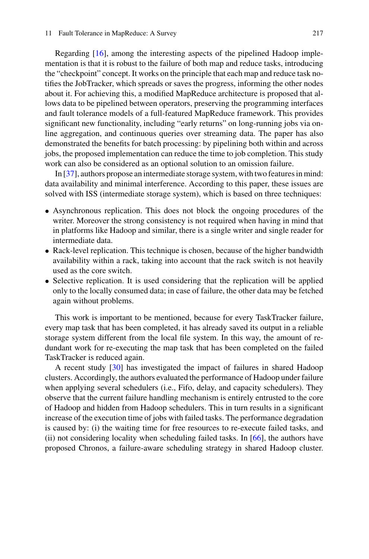Regarding [\[16\]](#page-32-4), among the interesting aspects of the pipelined Hadoop implementation is that it is robust to the failure of both map and reduce tasks, introducing the "checkpoint" concept. It works on the principle that each map and reduce task notifies the JobTracker, which spreads or saves the progress, informing the other nodes about it. For achieving this, a modified MapReduce architecture is proposed that allows data to be pipelined between operators, preserving the programming interfaces and fault tolerance models of a full-featured MapReduce framework. This provides significant new functionality, including "early returns" on long-running jobs via online aggregation, and continuous queries over streaming data. The paper has also demonstrated the benefits for batch processing: by pipelining both within and across jobs, the proposed implementation can reduce the time to job completion. This study work can also be considered as an optional solution to an omission failure.

In [\[37\]](#page-33-4), authors propose an intermediate storage system, with two features in mind: data availability and minimal interference. According to this paper, these issues are solved with ISS (intermediate storage system), which is based on three techniques:

- Asynchronous replication. This does not block the ongoing procedures of the writer. Moreover the strong consistency is not required when having in mind that in platforms like Hadoop and similar, there is a single writer and single reader for intermediate data.
- Rack-level replication. This technique is chosen, because of the higher bandwidth availability within a rack, taking into account that the rack switch is not heavily used as the core switch.
- Selective replication. It is used considering that the replication will be applied only to the locally consumed data; in case of failure, the other data may be fetched again without problems.

This work is important to be mentioned, because for every TaskTracker failure, every map task that has been completed, it has already saved its output in a reliable storage system different from the local file system. In this way, the amount of redundant work for re-executing the map task that has been completed on the failed TaskTracker is reduced again.

A recent study [\[30\]](#page-33-11) has investigated the impact of failures in shared Hadoop clusters. Accordingly, the authors evaluated the performance of Hadoop under failure when applying several schedulers (i.e., Fifo, delay, and capacity schedulers). They observe that the current failure handling mechanism is entirely entrusted to the core of Hadoop and hidden from Hadoop schedulers. This in turn results in a significant increase of the execution time of jobs with failed tasks. The performance degradation is caused by: (i) the waiting time for free resources to re-execute failed tasks, and (ii) not considering locality when scheduling failed tasks. In [\[66](#page-35-4)], the authors have proposed Chronos, a failure-aware scheduling strategy in shared Hadoop cluster.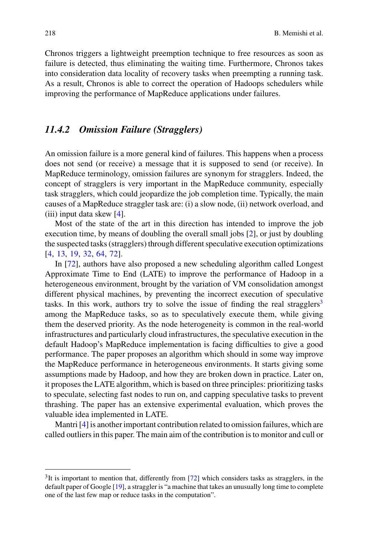Chronos triggers a lightweight preemption technique to free resources as soon as failure is detected, thus eliminating the waiting time. Furthermore, Chronos takes into consideration data locality of recovery tasks when preempting a running task. As a result, Chronos is able to correct the operation of Hadoops schedulers while improving the performance of MapReduce applications under failures.

## *11.4.2 Omission Failure (Stragglers)*

An omission failure is a more general kind of failures. This happens when a process does not send (or receive) a message that it is supposed to send (or receive). In MapReduce terminology, omission failures are synonym for stragglers. Indeed, the concept of stragglers is very important in the MapReduce community, especially task stragglers, which could jeopardize the job completion time. Typically, the main causes of a MapReduce straggler task are: (i) a slow node, (ii) network overload, and (iii) input data skew [\[4\]](#page-31-4).

Most of the state of the art in this direction has intended to improve the job execution time, by means of doubling the overall small jobs [\[2\]](#page-31-8), or just by doubling the suspected tasks (stragglers) through different speculative execution optimizations [\[4,](#page-31-4) [13,](#page-32-8) [19](#page-32-0), [32](#page-33-14), [64,](#page-35-3) [72](#page-35-1)].

In [\[72](#page-35-1)], authors have also proposed a new scheduling algorithm called Longest Approximate Time to End (LATE) to improve the performance of Hadoop in a heterogeneous environment, brought by the variation of VM consolidation amongst different physical machines, by preventing the incorrect execution of speculative tasks. In this work, authors try to solve the issue of finding the real stragglers<sup>3</sup> among the MapReduce tasks, so as to speculatively execute them, while giving them the deserved priority. As the node heterogeneity is common in the real-world infrastructures and particularly cloud infrastructures, the speculative execution in the default Hadoop's MapReduce implementation is facing difficulties to give a good performance. The paper proposes an algorithm which should in some way improve the MapReduce performance in heterogeneous environments. It starts giving some assumptions made by Hadoop, and how they are broken down in practice. Later on, it proposes the LATE algorithm, which is based on three principles: prioritizing tasks to speculate, selecting fast nodes to run on, and capping speculative tasks to prevent thrashing. The paper has an extensive experimental evaluation, which proves the valuable idea implemented in LATE.

Mantri [\[4\]](#page-31-4) is another important contribution related to omission failures, which are called outliers in this paper. The main aim of the contribution is to monitor and cull or

<span id="page-13-0"></span><sup>3</sup>It is important to mention that, differently from [\[72\]](#page-35-1) which considers tasks as stragglers, in the default paper of Google [\[19](#page-32-0)], a straggler is "a machine that takes an unusually long time to complete one of the last few map or reduce tasks in the computation".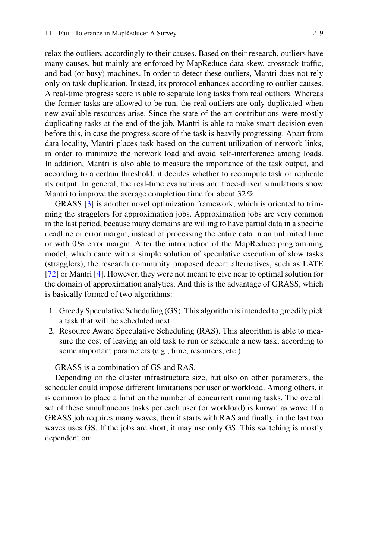relax the outliers, accordingly to their causes. Based on their research, outliers have many causes, but mainly are enforced by MapReduce data skew, crossrack traffic, and bad (or busy) machines. In order to detect these outliers, Mantri does not rely only on task duplication. Instead, its protocol enhances according to outlier causes. A real-time progress score is able to separate long tasks from real outliers. Whereas the former tasks are allowed to be run, the real outliers are only duplicated when new available resources arise. Since the state-of-the-art contributions were mostly duplicating tasks at the end of the job, Mantri is able to make smart decision even before this, in case the progress score of the task is heavily progressing. Apart from data locality, Mantri places task based on the current utilization of network links, in order to minimize the network load and avoid self-interference among loads. In addition, Mantri is also able to measure the importance of the task output, and according to a certain threshold, it decides whether to recompute task or replicate its output. In general, the real-time evaluations and trace-driven simulations show Mantri to improve the average completion time for about 32%.

GRASS [\[3\]](#page-31-6) is another novel optimization framework, which is oriented to trimming the stragglers for approximation jobs. Approximation jobs are very common in the last period, because many domains are willing to have partial data in a specific deadline or error margin, instead of processing the entire data in an unlimited time or with  $0\%$  error margin. After the introduction of the MapReduce programming model, which came with a simple solution of speculative execution of slow tasks (stragglers), the research community proposed decent alternatives, such as LATE [\[72\]](#page-35-1) or Mantri [\[4\]](#page-31-4). However, they were not meant to give near to optimal solution for the domain of approximation analytics. And this is the advantage of GRASS, which is basically formed of two algorithms:

- 1. Greedy Speculative Scheduling (GS). This algorithm is intended to greedily pick a task that will be scheduled next.
- 2. Resource Aware Speculative Scheduling (RAS). This algorithm is able to measure the cost of leaving an old task to run or schedule a new task, according to some important parameters (e.g., time, resources, etc.).

GRASS is a combination of GS and RAS.

Depending on the cluster infrastructure size, but also on other parameters, the scheduler could impose different limitations per user or workload. Among others, it is common to place a limit on the number of concurrent running tasks. The overall set of these simultaneous tasks per each user (or workload) is known as wave. If a GRASS job requires many waves, then it starts with RAS and finally, in the last two waves uses GS. If the jobs are short, it may use only GS. This switching is mostly dependent on: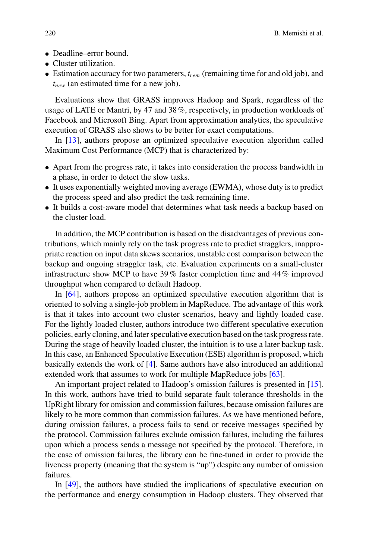- Deadline–error bound.
- Cluster utilization.
- Estimation accuracy for two parameters,  $t_{rem}$  (remaining time for and old job), and *tnew* (an estimated time for a new job).

Evaluations show that GRASS improves Hadoop and Spark, regardless of the usage of LATE or Mantri, by 47 and 38%, respectively, in production workloads of Facebook and Microsoft Bing. Apart from approximation analytics, the speculative execution of GRASS also shows to be better for exact computations.

In [\[13](#page-32-8)], authors propose an optimized speculative execution algorithm called Maximum Cost Performance (MCP) that is characterized by:

- Apart from the progress rate, it takes into consideration the process bandwidth in a phase, in order to detect the slow tasks.
- It uses exponentially weighted moving average (EWMA), whose duty is to predict the process speed and also predict the task remaining time.
- It builds a cost-aware model that determines what task needs a backup based on the cluster load.

In addition, the MCP contribution is based on the disadvantages of previous contributions, which mainly rely on the task progress rate to predict stragglers, inappropriate reaction on input data skews scenarios, unstable cost comparison between the backup and ongoing straggler task, etc. Evaluation experiments on a small-cluster infrastructure show MCP to have 39% faster completion time and 44% improved throughput when compared to default Hadoop.

In [\[64](#page-35-3)], authors propose an optimized speculative execution algorithm that is oriented to solving a single-job problem in MapReduce. The advantage of this work is that it takes into account two cluster scenarios, heavy and lightly loaded case. For the lightly loaded cluster, authors introduce two different speculative execution policies, early cloning, and later speculative execution based on the task progress rate. During the stage of heavily loaded cluster, the intuition is to use a later backup task. In this case, an Enhanced Speculative Execution (ESE) algorithm is proposed, which basically extends the work of [\[4](#page-31-4)]. Same authors have also introduced an additional extended work that assumes to work for multiple MapReduce jobs [\[63\]](#page-34-11).

An important project related to Hadoop's omission failures is presented in [\[15](#page-32-3)]. In this work, authors have tried to build separate fault tolerance thresholds in the UpRight library for omission and commission failures, because omission failures are likely to be more common than commission failures. As we have mentioned before, during omission failures, a process fails to send or receive messages specified by the protocol. Commission failures exclude omission failures, including the failures upon which a process sends a message not specified by the protocol. Therefore, in the case of omission failures, the library can be fine-tuned in order to provide the liveness property (meaning that the system is "up") despite any number of omission failures.

In [\[49\]](#page-34-12), the authors have studied the implications of speculative execution on the performance and energy consumption in Hadoop clusters. They observed that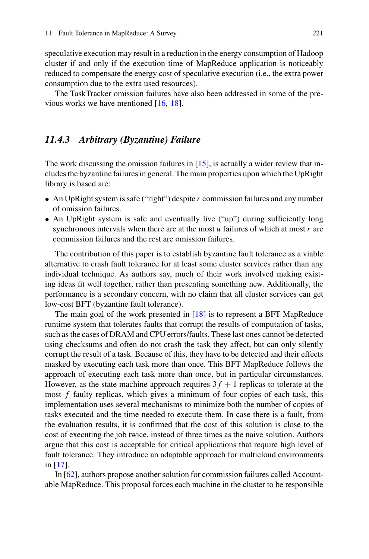speculative execution may result in a reduction in the energy consumption of Hadoop cluster if and only if the execution time of MapReduce application is noticeably reduced to compensate the energy cost of speculative execution (i.e., the extra power consumption due to the extra used resources).

The TaskTracker omission failures have also been addressed in some of the previous works we have mentioned [\[16](#page-32-4), [18](#page-32-6)].

#### *11.4.3 Arbitrary (Byzantine) Failure*

The work discussing the omission failures in  $[15]$ , is actually a wider review that includes the byzantine failures in general. The main properties upon which the UpRight library is based are:

- An UpRight system is safe ("right") despite *r* commission failures and any number of omission failures.
- An UpRight system is safe and eventually live ("up") during sufficiently long synchronous intervals when there are at the most *u* failures of which at most *r* are commission failures and the rest are omission failures.

The contribution of this paper is to establish byzantine fault tolerance as a viable alternative to crash fault tolerance for at least some cluster services rather than any individual technique. As authors say, much of their work involved making existing ideas fit well together, rather than presenting something new. Additionally, the performance is a secondary concern, with no claim that all cluster services can get low-cost BFT (byzantine fault tolerance).

The main goal of the work presented in [\[18](#page-32-6)] is to represent a BFT MapReduce runtime system that tolerates faults that corrupt the results of computation of tasks, such as the cases of DRAM and CPU errors/faults. These last ones cannot be detected using checksums and often do not crash the task they affect, but can only silently corrupt the result of a task. Because of this, they have to be detected and their effects masked by executing each task more than once. This BFT MapReduce follows the approach of executing each task more than once, but in particular circumstances. However, as the state machine approach requires  $3 f + 1$  replicas to tolerate at the most *f* faulty replicas, which gives a minimum of four copies of each task, this implementation uses several mechanisms to minimize both the number of copies of tasks executed and the time needed to execute them. In case there is a fault, from the evaluation results, it is confirmed that the cost of this solution is close to the cost of executing the job twice, instead of three times as the naive solution. Authors argue that this cost is acceptable for critical applications that require high level of fault tolerance. They introduce an adaptable approach for multicloud environments in [\[17](#page-32-10)].

In [\[62](#page-34-10)], authors propose another solution for commission failures called Accountable MapReduce. This proposal forces each machine in the cluster to be responsible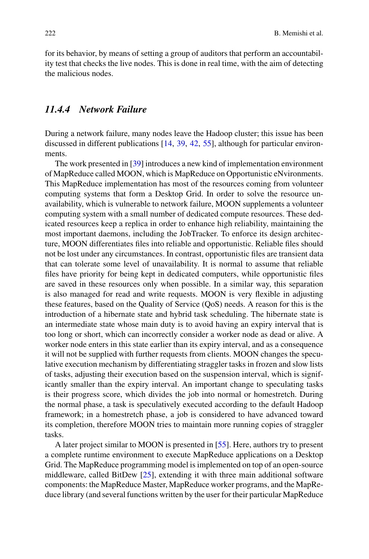for its behavior, by means of setting a group of auditors that perform an accountability test that checks the live nodes. This is done in real time, with the aim of detecting the malicious nodes.

# *11.4.4 Network Failure*

During a network failure, many nodes leave the Hadoop cluster; this issue has been discussed in different publications [\[14](#page-32-5), [39,](#page-33-3) [42](#page-33-7), [55\]](#page-34-8), although for particular environments.

The work presented in [\[39](#page-33-3)] introduces a new kind of implementation environment of MapReduce called MOON, which is MapReduce on Opportunistic eNvironments. This MapReduce implementation has most of the resources coming from volunteer computing systems that form a Desktop Grid. In order to solve the resource unavailability, which is vulnerable to network failure, MOON supplements a volunteer computing system with a small number of dedicated compute resources. These dedicated resources keep a replica in order to enhance high reliability, maintaining the most important daemons, including the JobTracker. To enforce its design architecture, MOON differentiates files into reliable and opportunistic. Reliable files should not be lost under any circumstances. In contrast, opportunistic files are transient data that can tolerate some level of unavailability. It is normal to assume that reliable files have priority for being kept in dedicated computers, while opportunistic files are saved in these resources only when possible. In a similar way, this separation is also managed for read and write requests. MOON is very flexible in adjusting these features, based on the Quality of Service (QoS) needs. A reason for this is the introduction of a hibernate state and hybrid task scheduling. The hibernate state is an intermediate state whose main duty is to avoid having an expiry interval that is too long or short, which can incorrectly consider a worker node as dead or alive. A worker node enters in this state earlier than its expiry interval, and as a consequence it will not be supplied with further requests from clients. MOON changes the speculative execution mechanism by differentiating straggler tasks in frozen and slow lists of tasks, adjusting their execution based on the suspension interval, which is significantly smaller than the expiry interval. An important change to speculating tasks is their progress score, which divides the job into normal or homestretch. During the normal phase, a task is speculatively executed according to the default Hadoop framework; in a homestretch phase, a job is considered to have advanced toward its completion, therefore MOON tries to maintain more running copies of straggler tasks.

A later project similar to MOON is presented in [\[55\]](#page-34-8). Here, authors try to present a complete runtime environment to execute MapReduce applications on a Desktop Grid. The MapReduce programming model is implemented on top of an open-source middleware, called BitDew [\[25](#page-32-11)], extending it with three main additional software components: the MapReduce Master, MapReduce worker programs, and the MapReduce library (and several functions written by the user for their particular MapReduce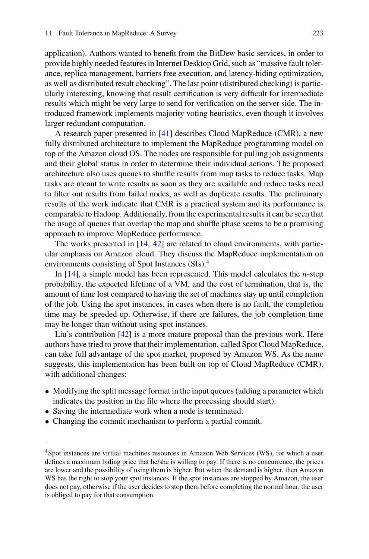application). Authors wanted to benefit from the BitDew basic services, in order to provide highly needed features in Internet Desktop Grid, such as "massive fault tolerance, replica management, barriers free execution, and latency-hiding optimization, as well as distributed result checking". The last point (distributed checking) is particularly interesting, knowing that result certification is very difficult for intermediate results which might be very large to send for verification on the server side. The introduced framework implements majority voting heuristics, even though it involves larger redundant computation.

A research paper presented in [\[41](#page-33-5)] describes Cloud MapReduce (CMR), a new fully distributed architecture to implement the MapReduce programming model on top of the Amazon cloud OS. The nodes are responsible for pulling job assignments and their global status in order to determine their individual actions. The proposed architecture also uses queues to shuffle results from map tasks to reduce tasks. Map tasks are meant to write results as soon as they are available and reduce tasks need to filter out results from failed nodes, as well as duplicate results. The preliminary results of the work indicate that CMR is a practical system and its performance is comparable to Hadoop. Additionally, from the experimental results it can be seen that the usage of queues that overlap the map and shuffle phase seems to be a promising approach to improve MapReduce performance.

The works presented in [\[14](#page-32-5), [42](#page-33-7)] are related to cloud environments, with particular emphasis on Amazon cloud. They discuss the MapReduce implementation on environments consisting of Spot Instances (SIs).<sup>[4](#page-18-0)</sup>

In [\[14](#page-32-5)], a simple model has been represented. This model calculates the *n*-step probability, the expected lifetime of a VM, and the cost of termination, that is, the amount of time lost compared to having the set of machines stay up until completion of the job. Using the spot instances, in cases when there is no fault, the completion time may be speeded up. Otherwise, if there are failures, the job completion time may be longer than without using spot instances.

Liu's contribution [\[42\]](#page-33-7) is a more mature proposal than the previous work. Here authors have tried to prove that their implementation, called Spot Cloud MapReduce, can take full advantage of the spot market, proposed by Amazon WS. As the name suggests, this implementation has been built on top of Cloud MapReduce (CMR), with additional changes:

- Modifying the split message format in the input queues (adding a parameter which indicates the position in the file where the processing should start).
- Saving the intermediate work when a node is terminated.
- Changing the commit mechanism to perform a partial commit.

<span id="page-18-0"></span><sup>4</sup>Spot instances are virtual machines resources in Amazon Web Services (WS), for which a user defines a maximum biding price that he/she is willing to pay. If there is no concurrence, the prices are lower and the possibility of using them is higher. But when the demand is higher, then Amazon WS has the right to stop your spot instances. If the spot instances are stopped by Amazon, the user does not pay, otherwise if the user decides to stop them before completing the normal hour, the user is obliged to pay for that consumption.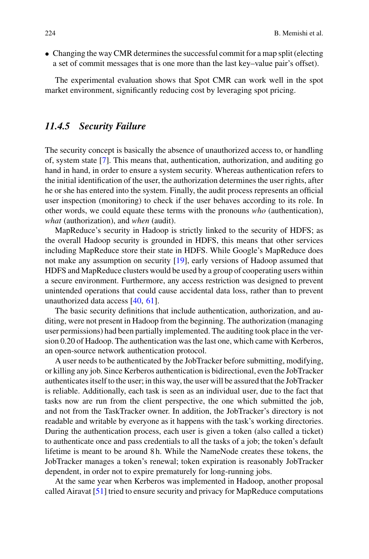• Changing the way CMR determines the successful commit for a map split (electing a set of commit messages that is one more than the last key–value pair's offset).

The experimental evaluation shows that Spot CMR can work well in the spot market environment, significantly reducing cost by leveraging spot pricing.

## *11.4.5 Security Failure*

The security concept is basically the absence of unauthorized access to, or handling of, system state [\[7\]](#page-31-0). This means that, authentication, authorization, and auditing go hand in hand, in order to ensure a system security. Whereas authentication refers to the initial identification of the user, the authorization determines the user rights, after he or she has entered into the system. Finally, the audit process represents an official user inspection (monitoring) to check if the user behaves according to its role. In other words, we could equate these terms with the pronouns *who* (authentication), *what* (authorization), and *when* (audit).

MapReduce's security in Hadoop is strictly linked to the security of HDFS; as the overall Hadoop security is grounded in HDFS, this means that other services including MapReduce store their state in HDFS. While Google's MapReduce does not make any assumption on security [\[19\]](#page-32-0), early versions of Hadoop assumed that HDFS and MapReduce clusters would be used by a group of cooperating users within a secure environment. Furthermore, any access restriction was designed to prevent unintended operations that could cause accidental data loss, rather than to prevent unauthorized data access [\[40](#page-33-15), [61](#page-34-14)].

The basic security definitions that include authentication, authorization, and auditing, were not present in Hadoop from the beginning. The authorization (managing user permissions) had been partially implemented. The auditing took place in the version 0.20 of Hadoop. The authentication was the last one, which came with Kerberos, an open-source network authentication protocol.

A user needs to be authenticated by the JobTracker before submitting, modifying, or killing any job. Since Kerberos authentication is bidirectional, even the JobTracker authenticates itself to the user; in this way, the user will be assured that the JobTracker is reliable. Additionally, each task is seen as an individual user, due to the fact that tasks now are run from the client perspective, the one which submitted the job, and not from the TaskTracker owner. In addition, the JobTracker's directory is not readable and writable by everyone as it happens with the task's working directories. During the authentication process, each user is given a token (also called a ticket) to authenticate once and pass credentials to all the tasks of a job; the token's default lifetime is meant to be around 8 h. While the NameNode creates these tokens, the JobTracker manages a token's renewal; token expiration is reasonably JobTracker dependent, in order not to expire prematurely for long-running jobs.

At the same year when Kerberos was implemented in Hadoop, another proposal called Airavat [\[51\]](#page-34-4) tried to ensure security and privacy for MapReduce computations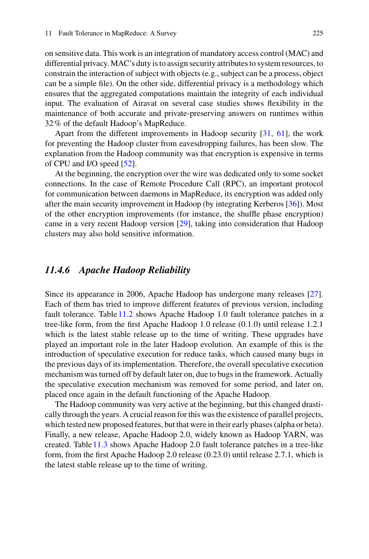on sensitive data. This work is an integration of mandatory access control (MAC) and differential privacy. MAC's duty is to assign security attributes to system resources, to constrain the interaction of subject with objects (e.g., subject can be a process, object can be a simple file). On the other side, differential privacy is a methodology which ensures that the aggregated computations maintain the integrity of each individual input. The evaluation of Airavat on several case studies shows flexibility in the maintenance of both accurate and private-preserving answers on runtimes within 32% of the default Hadoop's MapReduce.

Apart from the different improvements in Hadoop security [\[31,](#page-33-16) [61\]](#page-34-14), the work for preventing the Hadoop cluster from eavesdropping failures, has been slow. The explanation from the Hadoop community was that encryption is expensive in terms of CPU and I/O speed [\[52](#page-34-9)].

At the beginning, the encryption over the wire was dedicated only to some socket connections. In the case of Remote Procedure Call (RPC), an important protocol for communication between daemons in MapReduce, its encryption was added only after the main security improvement in Hadoop (by integrating Kerberos [\[36\]](#page-33-17)). Most of the other encryption improvements (for instance, the shuffle phase encryption) came in a very recent Hadoop version [\[29\]](#page-33-8), taking into consideration that Hadoop clusters may also hold sensitive information.

#### *11.4.6 Apache Hadoop Reliability*

Since its appearance in 2006, Apache Hadoop has undergone many releases [\[27](#page-32-12)]. Each of them has tried to improve different features of previous version, including fault tolerance. Table [11.2](#page-21-0) shows Apache Hadoop 1.0 fault tolerance patches in a tree-like form, from the first Apache Hadoop 1.0 release (0.1.0) until release 1.2.1 which is the latest stable release up to the time of writing. These upgrades have played an important role in the later Hadoop evolution. An example of this is the introduction of speculative execution for reduce tasks, which caused many bugs in the previous days of its implementation. Therefore, the overall speculative execution mechanism was turned off by default later on, due to bugs in the framework. Actually the speculative execution mechanism was removed for some period, and later on, placed once again in the default functioning of the Apache Hadoop.

The Hadoop community was very active at the beginning, but this changed drastically through the years. A crucial reason for this was the existence of parallel projects, which tested new proposed features, but that were in their early phases (alpha or beta). Finally, a new release, Apache Hadoop 2.0, widely known as Hadoop YARN, was created. Table [11.3](#page-22-1) shows Apache Hadoop 2.0 fault tolerance patches in a tree-like form, from the first Apache Hadoop 2.0 release (0.23.0) until release 2.7.1, which is the latest stable release up to the time of writing.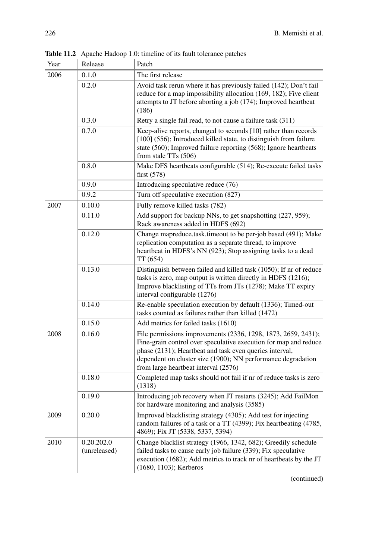| Year | Release                    | Patch                                                                                                                                                                                                                                                                                                |
|------|----------------------------|------------------------------------------------------------------------------------------------------------------------------------------------------------------------------------------------------------------------------------------------------------------------------------------------------|
| 2006 | 0.1.0                      | The first release                                                                                                                                                                                                                                                                                    |
|      | 0.2.0                      | Avoid task rerun where it has previously failed (142); Don't fail<br>reduce for a map impossibility allocation (169, 182); Five client<br>attempts to JT before aborting a job (174); Improved heartbeat<br>(186)                                                                                    |
|      | 0.3.0                      | Retry a single fail read, to not cause a failure task (311)                                                                                                                                                                                                                                          |
|      | 0.7.0                      | Keep-alive reports, changed to seconds [10] rather than records<br>[100] (556); Introduced killed state, to distinguish from failure<br>state (560); Improved failure reporting (568); Ignore heartbeats<br>from stale TTs (506)                                                                     |
|      | 0.8.0                      | Make DFS heartbeats configurable (514); Re-execute failed tasks<br>first $(578)$                                                                                                                                                                                                                     |
|      | 0.9.0                      | Introducing speculative reduce (76)                                                                                                                                                                                                                                                                  |
|      | 0.9.2                      | Turn off speculative execution (827)                                                                                                                                                                                                                                                                 |
| 2007 | 0.10.0                     | Fully remove killed tasks (782)                                                                                                                                                                                                                                                                      |
|      | 0.11.0                     | Add support for backup NNs, to get snapshotting (227, 959);<br>Rack awareness added in HDFS (692)                                                                                                                                                                                                    |
|      | 0.12.0                     | Change mapreduce task time out to be per-job based (491); Make<br>replication computation as a separate thread, to improve<br>heartbeat in HDFS's NN (923); Stop assigning tasks to a dead<br>TT (654)                                                                                               |
|      | 0.13.0                     | Distinguish between failed and killed task (1050); If nr of reduce<br>tasks is zero, map output is written directly in HDFS (1216);<br>Improve blacklisting of TTs from JTs (1278); Make TT expiry<br>interval configurable (1276)                                                                   |
|      | 0.14.0                     | Re-enable speculation execution by default (1336); Timed-out<br>tasks counted as failures rather than killed (1472)                                                                                                                                                                                  |
|      | 0.15.0                     | Add metrics for failed tasks (1610)                                                                                                                                                                                                                                                                  |
| 2008 | 0.16.0                     | File permissions improvements (2336, 1298, 1873, 2659, 2431);<br>Fine-grain control over speculative execution for map and reduce<br>phase (2131); Heartbeat and task even queries interval,<br>dependent on cluster size (1900); NN performance degradation<br>from large heartbeat interval (2576) |
|      | 0.18.0                     | Completed map tasks should not fail if nr of reduce tasks is zero<br>(1318)                                                                                                                                                                                                                          |
|      | 0.19.0                     | Introducing job recovery when JT restarts (3245); Add FailMon<br>for hardware monitoring and analysis (3585)                                                                                                                                                                                         |
| 2009 | 0.20.0                     | Improved blacklisting strategy (4305); Add test for injecting<br>random failures of a task or a TT (4399); Fix heartbeating (4785,<br>4869); Fix JT (5338, 5337, 5394)                                                                                                                               |
| 2010 | 0.20.202.0<br>(unreleased) | Change blacklist strategy (1966, 1342, 682); Greedily schedule<br>failed tasks to cause early job failure (339); Fix speculative<br>execution (1682); Add metrics to track nr of heartbeats by the JT<br>(1680, 1103); Kerberos                                                                      |

<span id="page-21-0"></span>**Table 11.2** Apache Hadoop 1.0: timeline of its fault tolerance patches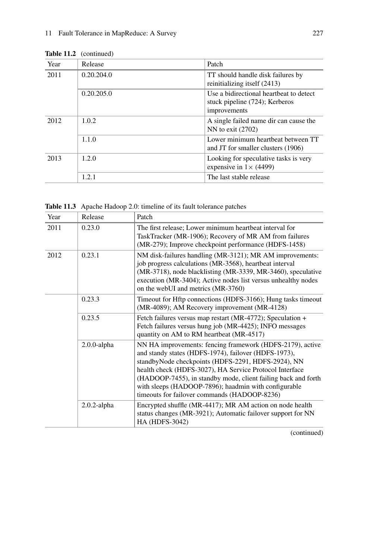| Year | Release    | Patch                                                                                     |
|------|------------|-------------------------------------------------------------------------------------------|
| 2011 | 0.20.204.0 | TT should handle disk failures by<br>reinitializing itself (2413)                         |
|      | 0.20.205.0 | Use a bidirectional heartheat to detect<br>stuck pipeline (724); Kerberos<br>improvements |
| 2012 | 1.0.2      | A single failed name dir can cause the<br>NN to exit $(2702)$                             |
|      | 1.1.0      | Lower minimum heartheat between TT<br>and JT for smaller clusters (1906)                  |
| 2013 | 1.2.0      | Looking for speculative tasks is very<br>expensive in $1 \times (4499)$                   |
|      | 1.2.1      | The last stable release                                                                   |

Table 11.2 (continued)

<span id="page-22-1"></span>**Table 11.3** Apache Hadoop 2.0: timeline of its fault tolerance patches

<span id="page-22-0"></span>

| Year | Release        | Patch                                                                                                                                                                                                                                                                                                                                                                                                       |
|------|----------------|-------------------------------------------------------------------------------------------------------------------------------------------------------------------------------------------------------------------------------------------------------------------------------------------------------------------------------------------------------------------------------------------------------------|
| 2011 | 0.23.0         | The first release; Lower minimum heartbeat interval for<br>TaskTracker (MR-1906); Recovery of MR AM from failures<br>(MR-279); Improve checkpoint performance (HDFS-1458)                                                                                                                                                                                                                                   |
| 2012 | 0.23.1         | NM disk-failures handling (MR-3121); MR AM improvements:<br>job progress calculations (MR-3568), heartbeat interval<br>(MR-3718), node blacklisting (MR-3339, MR-3460), speculative<br>execution (MR-3404); Active nodes list versus unhealthy nodes<br>on the webUI and metrics (MR-3760)                                                                                                                  |
|      | 0.23.3         | Timeout for Hftp connections (HDFS-3166); Hung tasks timeout<br>(MR-4089); AM Recovery improvement (MR-4128)                                                                                                                                                                                                                                                                                                |
|      | 0.23.5         | Fetch failures versus map restart (MR-4772); Speculation +<br>Fetch failures versus hung job (MR-4425); INFO messages<br>quantity on AM to RM heartbeat (MR-4517)                                                                                                                                                                                                                                           |
|      | $2.0.0$ -alpha | NN HA improvements: fencing framework (HDFS-2179), active<br>and standy states (HDFS-1974), failover (HDFS-1973),<br>standbyNode checkpoints (HDFS-2291, HDFS-2924), NN<br>health check (HDFS-3027), HA Service Protocol Interface<br>(HADOOP-7455), in standby mode, client failing back and forth<br>with sleeps (HADOOP-7896); haadmin with configurable<br>timeouts for failover commands (HADOOP-8236) |
|      | $2.0.2$ -alpha | Encrypted shuffle (MR-4417); MR AM action on node health<br>status changes (MR-3921); Automatic failover support for NN<br>HA (HDFS-3042)                                                                                                                                                                                                                                                                   |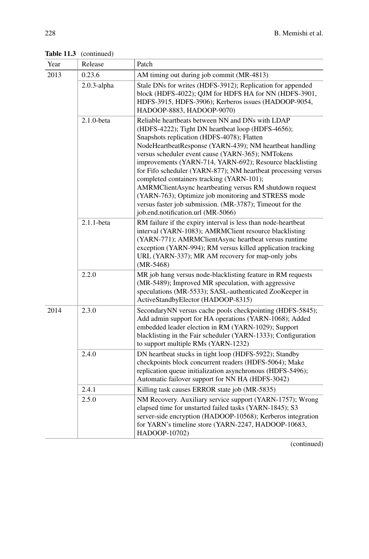| 12016 11.3 | $($ conunuea $)$ |                                                                                                                                                                                                                                                                                                                                                                                                                                                                                                                                                                                                                                                                   |  |
|------------|------------------|-------------------------------------------------------------------------------------------------------------------------------------------------------------------------------------------------------------------------------------------------------------------------------------------------------------------------------------------------------------------------------------------------------------------------------------------------------------------------------------------------------------------------------------------------------------------------------------------------------------------------------------------------------------------|--|
| Year       | Release          | Patch                                                                                                                                                                                                                                                                                                                                                                                                                                                                                                                                                                                                                                                             |  |
| 2013       | 0.23.6           | AM timing out during job commit (MR-4813)                                                                                                                                                                                                                                                                                                                                                                                                                                                                                                                                                                                                                         |  |
|            | 2.0.3-alpha      | Stale DNs for writes (HDFS-3912); Replication for appended<br>block (HDFS-4022); QJM for HDFS HA for NN (HDFS-3901,<br>HDFS-3915, HDFS-3906); Kerberos issues (HADOOP-9054,<br>HADOOP-8883, HADOOP-9070)                                                                                                                                                                                                                                                                                                                                                                                                                                                          |  |
|            | $2.1.0$ -beta    | Reliable heartbeats between NN and DNs with LDAP<br>(HDFS-4222); Tight DN heartbeat loop (HDFS-4656);<br>Snapshots replication (HDFS-4078); Flatten<br>NodeHeartbeatResponse (YARN-439); NM heartbeat handling<br>versus scheduler event cause (YARN-365); NMTokens<br>improvements (YARN-714, YARN-692); Resource blacklisting<br>for Fifo scheduler (YARN-877); NM heartbeat processing versus<br>completed containers tracking (YARN-101);<br>AMRMClientAsync heartbeating versus RM shutdown request<br>(YARN-763); Optimize job monitoring and STRESS mode<br>versus faster job submission. (MR-3787); Timeout for the<br>job.end.notification.url (MR-5066) |  |
|            | $2.1.1$ -beta    | RM failure if the expiry interval is less than node-heartbeat<br>interval (YARN-1083); AMRMClient resource blacklisting<br>(YARN-771); AMRMClientAsync heartbeat versus runtime<br>exception (YARN-994); RM versus killed application tracking<br>URL (YARN-337); MR AM recovery for map-only jobs<br>$(MR-5468)$                                                                                                                                                                                                                                                                                                                                                 |  |
|            | 2.2.0            | MR job hang versus node-blacklisting feature in RM requests<br>(MR-5489); Improved MR speculation, with aggressive<br>speculations (MR-5533); SASL-authenticated ZooKeeper in<br>ActiveStandbyElector (HADOOP-8315)                                                                                                                                                                                                                                                                                                                                                                                                                                               |  |
| 2014       | 2.3.0            | SecondaryNN versus cache pools checkpointing (HDFS-5845);<br>Add admin support for HA operations (YARN-1068); Added<br>embedded leader election in RM (YARN-1029); Support<br>blacklisting in the Fair scheduler (YARN-1333); Configuration<br>to support multiple RMs (YARN-1232)                                                                                                                                                                                                                                                                                                                                                                                |  |
|            | 2.4.0            | DN heartbeat stucks in tight loop (HDFS-5922); Standby<br>checkpoints block concurrent readers (HDFS-5064); Make<br>replication queue initialization asynchronous (HDFS-5496);<br>Automatic failover support for NN HA (HDFS-3042)                                                                                                                                                                                                                                                                                                                                                                                                                                |  |
|            | 2.4.1            | Killing task causes ERROR state job (MR-5835)                                                                                                                                                                                                                                                                                                                                                                                                                                                                                                                                                                                                                     |  |
|            | 2.5.0            | NM Recovery. Auxiliary service support (YARN-1757); Wrong<br>elapsed time for unstarted failed tasks (YARN-1845); S3<br>server-side encryption (HADOOP-10568); Kerberos integration<br>for YARN's timeline store (YARN-2247, HADOOP-10683,<br>HADOOP-10702)                                                                                                                                                                                                                                                                                                                                                                                                       |  |

**Table 11.3** (continued)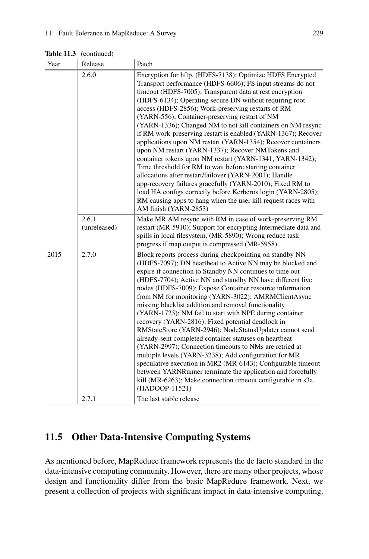| Table 11.3 (continued) |  |
|------------------------|--|
|------------------------|--|

| Year | Release               | Patch                                                                                                                                                                                                                                                                                                                                                                                                                                                                                                                                                                                                                                                                                                                                                                                                                                                                                                                                                                                                               |
|------|-----------------------|---------------------------------------------------------------------------------------------------------------------------------------------------------------------------------------------------------------------------------------------------------------------------------------------------------------------------------------------------------------------------------------------------------------------------------------------------------------------------------------------------------------------------------------------------------------------------------------------------------------------------------------------------------------------------------------------------------------------------------------------------------------------------------------------------------------------------------------------------------------------------------------------------------------------------------------------------------------------------------------------------------------------|
|      | 2.6.0                 | Encryption for hftp. (HDFS-7138); Optimize HDFS Encrypted<br>Transport performance (HDFS-6606); FS input streams do not<br>timeout (HDFS-7005); Transparent data at rest encryption<br>(HDFS-6134); Operating secure DN without requiring root<br>access (HDFS-2856); Work-preserving restarts of RM<br>(YARN-556); Container-preserving restart of NM<br>(YARN-1336); Changed NM to not kill containers on NM resync<br>if RM work-preserving restart is enabled (YARN-1367); Recover<br>applications upon NM restart (YARN-1354); Recover containers<br>upon NM restart (YARN-1337); Recover NMTokens and<br>container tokens upon NM restart (YARN-1341, YARN-1342);<br>Time threshold for RM to wait before starting container<br>allocations after restart/failover (YARN-2001); Handle<br>app-recovery failures gracefully (YARN-2010); Fixed RM to<br>load HA configs correctly before Kerberos login (YARN-2805);<br>RM causing apps to hang when the user kill request races with<br>AM finish (YARN-2853) |
|      | 2.6.1<br>(unreleased) | Make MR AM resync with RM in case of work-preserving RM<br>restart (MR-5910); Support for encrypting Intermediate data and<br>spills in local filesystem. (MR-5890); Wrong reduce task<br>progress if map output is compressed (MR-5958)                                                                                                                                                                                                                                                                                                                                                                                                                                                                                                                                                                                                                                                                                                                                                                            |
| 2015 | 2.7.0                 | Block reports process during checkpointing on standby NN<br>(HDFS-7097); DN heartbeat to Active NN may be blocked and<br>expire if connection to Standby NN continues to time out<br>(HDFS-7704); Active NN and standby NN have different live<br>nodes (HDFS-7009); Expose Container resource information<br>from NM for monitoring (YARN-3022); AMRMClientAsync<br>missing blacklist addition and removal functionality<br>(YARN-1723); NM fail to start with NPE during container<br>recovery (YARN-2816); Fixed potential deadlock in<br>RMStateStore (YARN-2946); NodeStatusUpdater cannot send<br>already-sent completed container statuses on heartbeat<br>(YARN-2997); Connection timeouts to NMs are retried at<br>multiple levels (YARN-3238); Add configuration for MR<br>speculative execution in MR2 (MR-6143); Configurable timeout<br>between YARNRunner terminate the application and forcefully<br>kill (MR-6263); Make connection timeout configurable in s3a.<br>(HADOOP-11521)                  |
|      | 2.7.1                 | The last stable release                                                                                                                                                                                                                                                                                                                                                                                                                                                                                                                                                                                                                                                                                                                                                                                                                                                                                                                                                                                             |

# **11.5 Other Data-Intensive Computing Systems**

As mentioned before, MapReduce framework represents the de facto standard in the data-intensive computing community. However, there are many other projects, whose design and functionality differ from the basic MapReduce framework. Next, we present a collection of projects with significant impact in data-intensive computing.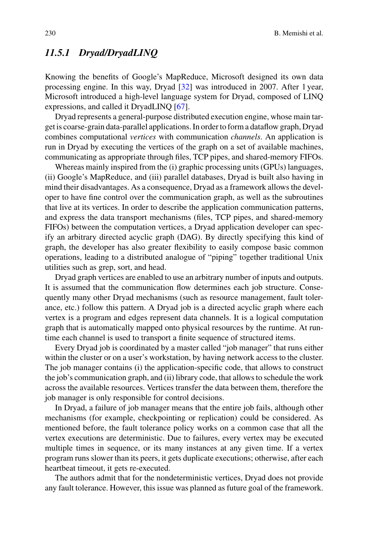# *11.5.1 Dryad/DryadLINQ*

Knowing the benefits of Google's MapReduce, Microsoft designed its own data processing engine. In this way, Dryad [\[32\]](#page-33-14) was introduced in 2007. After 1 year, Microsoft introduced a high-level language system for Dryad, composed of LINQ expressions, and called it DryadLINQ [\[67\]](#page-35-5).

Dryad represents a general-purpose distributed execution engine, whose main target is coarse-grain data-parallel applications. In order to form a dataflow graph, Dryad combines computational *vertices* with communication *channels*. An application is run in Dryad by executing the vertices of the graph on a set of available machines, communicating as appropriate through files, TCP pipes, and shared-memory FIFOs.

Whereas mainly inspired from the (i) graphic processing units (GPUs) languages, (ii) Google's MapReduce, and (iii) parallel databases, Dryad is built also having in mind their disadvantages. As a consequence, Dryad as a framework allows the developer to have fine control over the communication graph, as well as the subroutines that live at its vertices. In order to describe the application communication patterns, and express the data transport mechanisms (files, TCP pipes, and shared-memory FIFOs) between the computation vertices, a Dryad application developer can specify an arbitrary directed acyclic graph (DAG). By directly specifying this kind of graph, the developer has also greater flexibility to easily compose basic common operations, leading to a distributed analogue of "piping" together traditional Unix utilities such as grep, sort, and head.

Dryad graph vertices are enabled to use an arbitrary number of inputs and outputs. It is assumed that the communication flow determines each job structure. Consequently many other Dryad mechanisms (such as resource management, fault tolerance, etc.) follow this pattern. A Dryad job is a directed acyclic graph where each vertex is a program and edges represent data channels. It is a logical computation graph that is automatically mapped onto physical resources by the runtime. At runtime each channel is used to transport a finite sequence of structured items.

Every Dryad job is coordinated by a master called "job manager" that runs either within the cluster or on a user's workstation, by having network access to the cluster. The job manager contains (i) the application-specific code, that allows to construct the job's communication graph, and (ii) library code, that allows to schedule the work across the available resources. Vertices transfer the data between them, therefore the job manager is only responsible for control decisions.

In Dryad, a failure of job manager means that the entire job fails, although other mechanisms (for example, checkpointing or replication) could be considered. As mentioned before, the fault tolerance policy works on a common case that all the vertex executions are deterministic. Due to failures, every vertex may be executed multiple times in sequence, or its many instances at any given time. If a vertex program runs slower than its peers, it gets duplicate executions; otherwise, after each heartbeat timeout, it gets re-executed.

The authors admit that for the nondeterministic vertices, Dryad does not provide any fault tolerance. However, this issue was planned as future goal of the framework.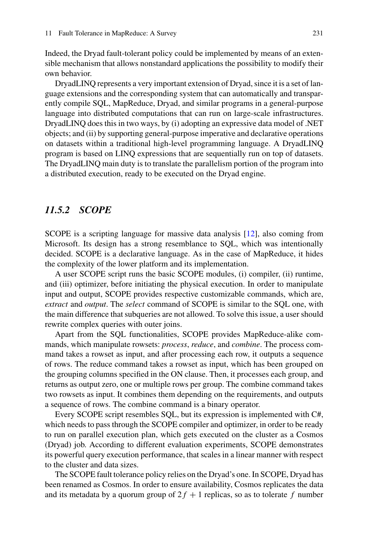Indeed, the Dryad fault-tolerant policy could be implemented by means of an extensible mechanism that allows nonstandard applications the possibility to modify their own behavior.

DryadLINQ represents a very important extension of Dryad, since it is a set of language extensions and the corresponding system that can automatically and transparently compile SQL, MapReduce, Dryad, and similar programs in a general-purpose language into distributed computations that can run on large-scale infrastructures. DryadLINQ does this in two ways, by (i) adopting an expressive data model of .NET objects; and (ii) by supporting general-purpose imperative and declarative operations on datasets within a traditional high-level programming language. A DryadLINQ program is based on LINQ expressions that are sequentially run on top of datasets. The DryadLINQ main duty is to translate the parallelism portion of the program into a distributed execution, ready to be executed on the Dryad engine.

## *11.5.2 SCOPE*

SCOPE is a scripting language for massive data analysis [\[12\]](#page-32-13), also coming from Microsoft. Its design has a strong resemblance to SQL, which was intentionally decided. SCOPE is a declarative language. As in the case of MapReduce, it hides the complexity of the lower platform and its implementation.

A user SCOPE script runs the basic SCOPE modules, (i) compiler, (ii) runtime, and (iii) optimizer, before initiating the physical execution. In order to manipulate input and output, SCOPE provides respective customizable commands, which are, *extract* and *output*. The *select* command of SCOPE is similar to the SQL one, with the main difference that subqueries are not allowed. To solve this issue, a user should rewrite complex queries with outer joins.

Apart from the SQL functionalities, SCOPE provides MapReduce-alike commands, which manipulate rowsets: *process*, *reduce*, and *combine*. The process command takes a rowset as input, and after processing each row, it outputs a sequence of rows. The reduce command takes a rowset as input, which has been grouped on the grouping columns specified in the ON clause. Then, it processes each group, and returns as output zero, one or multiple rows per group. The combine command takes two rowsets as input. It combines them depending on the requirements, and outputs a sequence of rows. The combine command is a binary operator.

Every SCOPE script resembles SQL, but its expression is implemented with C#, which needs to pass through the SCOPE compiler and optimizer, in order to be ready to run on parallel execution plan, which gets executed on the cluster as a Cosmos (Dryad) job. According to different evaluation experiments, SCOPE demonstrates its powerful query execution performance, that scales in a linear manner with respect to the cluster and data sizes.

The SCOPE fault tolerance policy relies on the Dryad's one. In SCOPE, Dryad has been renamed as Cosmos. In order to ensure availability, Cosmos replicates the data and its metadata by a quorum group of  $2f + 1$  replicas, so as to tolerate f number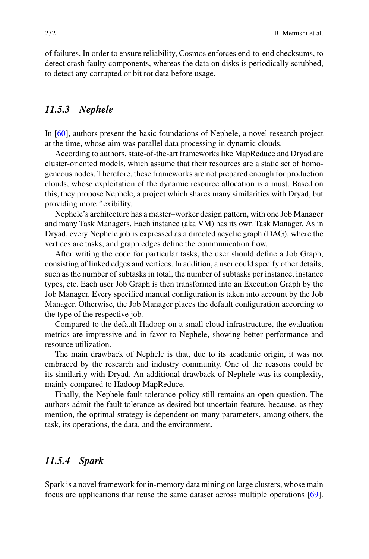of failures. In order to ensure reliability, Cosmos enforces end-to-end checksums, to detect crash faulty components, whereas the data on disks is periodically scrubbed, to detect any corrupted or bit rot data before usage.

## *11.5.3 Nephele*

In [\[60](#page-34-15)], authors present the basic foundations of Nephele, a novel research project at the time, whose aim was parallel data processing in dynamic clouds.

According to authors, state-of-the-art frameworks like MapReduce and Dryad are cluster-oriented models, which assume that their resources are a static set of homogeneous nodes. Therefore, these frameworks are not prepared enough for production clouds, whose exploitation of the dynamic resource allocation is a must. Based on this, they propose Nephele, a project which shares many similarities with Dryad, but providing more flexibility.

Nephele's architecture has a master–worker design pattern, with one Job Manager and many Task Managers. Each instance (aka VM) has its own Task Manager. As in Dryad, every Nephele job is expressed as a directed acyclic graph (DAG), where the vertices are tasks, and graph edges define the communication flow.

After writing the code for particular tasks, the user should define a Job Graph, consisting of linked edges and vertices. In addition, a user could specify other details, such as the number of subtasks in total, the number of subtasks per instance, instance types, etc. Each user Job Graph is then transformed into an Execution Graph by the Job Manager. Every specified manual configuration is taken into account by the Job Manager. Otherwise, the Job Manager places the default configuration according to the type of the respective job.

Compared to the default Hadoop on a small cloud infrastructure, the evaluation metrics are impressive and in favor to Nephele, showing better performance and resource utilization.

The main drawback of Nephele is that, due to its academic origin, it was not embraced by the research and industry community. One of the reasons could be its similarity with Dryad. An additional drawback of Nephele was its complexity, mainly compared to Hadoop MapReduce.

Finally, the Nephele fault tolerance policy still remains an open question. The authors admit the fault tolerance as desired but uncertain feature, because, as they mention, the optimal strategy is dependent on many parameters, among others, the task, its operations, the data, and the environment.

## *11.5.4 Spark*

Spark is a novel framework for in-memory data mining on large clusters, whose main focus are applications that reuse the same dataset across multiple operations [\[69](#page-35-6)].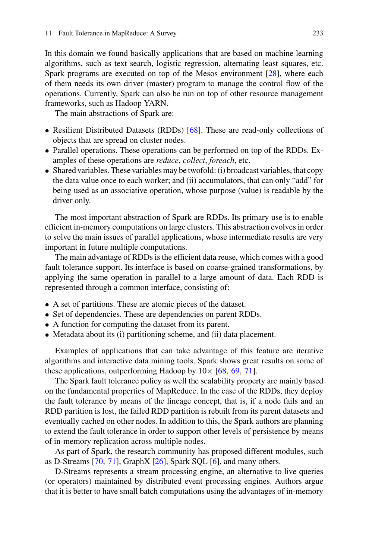In this domain we found basically applications that are based on machine learning algorithms, such as text search, logistic regression, alternating least squares, etc. Spark programs are executed on top of the Mesos environment [\[28\]](#page-32-14), where each of them needs its own driver (master) program to manage the control flow of the operations. Currently, Spark can also be run on top of other resource management frameworks, such as Hadoop YARN.

The main abstractions of Spark are:

- Resilient Distributed Datasets (RDDs) [\[68\]](#page-35-7). These are read-only collections of objects that are spread on cluster nodes.
- Parallel operations. These operations can be performed on top of the RDDs. Examples of these operations are *reduce*, *collect*, *foreach*, etc.
- Shared variables. These variables may be twofold: (i) broadcast variables, that copy the data value once to each worker; and (ii) accumulators, that can only "add" for being used as an associative operation, whose purpose (value) is readable by the driver only.

The most important abstraction of Spark are RDDs. Its primary use is to enable efficient in-memory computations on large clusters. This abstraction evolves in order to solve the main issues of parallel applications, whose intermediate results are very important in future multiple computations.

The main advantage of RDDs is the efficient data reuse, which comes with a good fault tolerance support. Its interface is based on coarse-grained transformations, by applying the same operation in parallel to a large amount of data. Each RDD is represented through a common interface, consisting of:

- A set of partitions. These are atomic pieces of the dataset.
- Set of dependencies. These are dependencies on parent RDDs.
- A function for computing the dataset from its parent.
- Metadata about its (i) partitioning scheme, and (ii) data placement.

Examples of applications that can take advantage of this feature are iterative algorithms and interactive data mining tools. Spark shows great results on some of these applications, outperforming Hadoop by  $10 \times [68, 69, 71]$  $10 \times [68, 69, 71]$  $10 \times [68, 69, 71]$  $10 \times [68, 69, 71]$  $10 \times [68, 69, 71]$  $10 \times [68, 69, 71]$  $10 \times [68, 69, 71]$ .

The Spark fault tolerance policy as well the scalability property are mainly based on the fundamental properties of MapReduce. In the case of the RDDs, they deploy the fault tolerance by means of the lineage concept, that is, if a node fails and an RDD partition is lost, the failed RDD partition is rebuilt from its parent datasets and eventually cached on other nodes. In addition to this, the Spark authors are planning to extend the fault tolerance in order to support other levels of persistence by means of in-memory replication across multiple nodes.

As part of Spark, the research community has proposed different modules, such as D-Streams [\[70,](#page-35-9) [71](#page-35-8)], GraphX [\[26\]](#page-32-15), Spark SQL [\[6](#page-31-9)], and many others.

D-Streams represents a stream processing engine, an alternative to live queries (or operators) maintained by distributed event processing engines. Authors argue that it is better to have small batch computations using the advantages of in-memory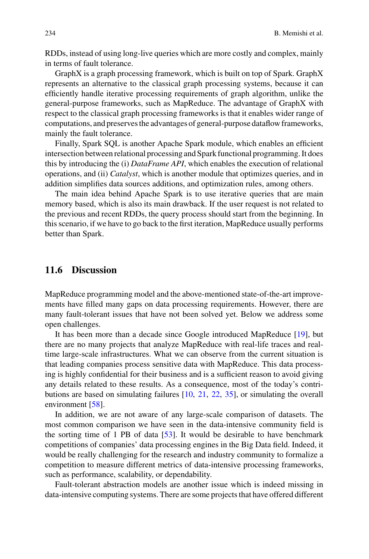RDDs, instead of using long-live queries which are more costly and complex, mainly in terms of fault tolerance.

GraphX is a graph processing framework, which is built on top of Spark. GraphX represents an alternative to the classical graph processing systems, because it can efficiently handle iterative processing requirements of graph algorithm, unlike the general-purpose frameworks, such as MapReduce. The advantage of GraphX with respect to the classical graph processing frameworks is that it enables wider range of computations, and preserves the advantages of general-purpose dataflow frameworks, mainly the fault tolerance.

Finally, Spark SQL is another Apache Spark module, which enables an efficient intersection between relational processing and Spark functional programming. It does this by introducing the (i) *DataFrame API*, which enables the execution of relational operations, and (ii) *Catalyst*, which is another module that optimizes queries, and in addition simplifies data sources additions, and optimization rules, among others.

The main idea behind Apache Spark is to use iterative queries that are main memory based, which is also its main drawback. If the user request is not related to the previous and recent RDDs, the query process should start from the beginning. In this scenario, if we have to go back to the first iteration, MapReduce usually performs better than Spark.

## <span id="page-29-0"></span>**11.6 Discussion**

MapReduce programming model and the above-mentioned state-of-the-art improvements have filled many gaps on data processing requirements. However, there are many fault-tolerant issues that have not been solved yet. Below we address some open challenges.

It has been more than a decade since Google introduced MapReduce [\[19\]](#page-32-0), but there are no many projects that analyze MapReduce with real-life traces and realtime large-scale infrastructures. What we can observe from the current situation is that leading companies process sensitive data with MapReduce. This data processing is highly confidential for their business and is a sufficient reason to avoid giving any details related to these results. As a consequence, most of the today's contributions are based on simulating failures [\[10,](#page-31-3) [21,](#page-32-16) [22,](#page-32-2) [35](#page-33-9)], or simulating the overall environment [\[58](#page-34-6)].

In addition, we are not aware of any large-scale comparison of datasets. The most common comparison we have seen in the data-intensive community field is the sorting time of 1 PB of data  $[53]$ . It would be desirable to have benchmark competitions of companies' data processing engines in the Big Data field. Indeed, it would be really challenging for the research and industry community to formalize a competition to measure different metrics of data-intensive processing frameworks, such as performance, scalability, or dependability.

Fault-tolerant abstraction models are another issue which is indeed missing in data-intensive computing systems. There are some projects that have offered different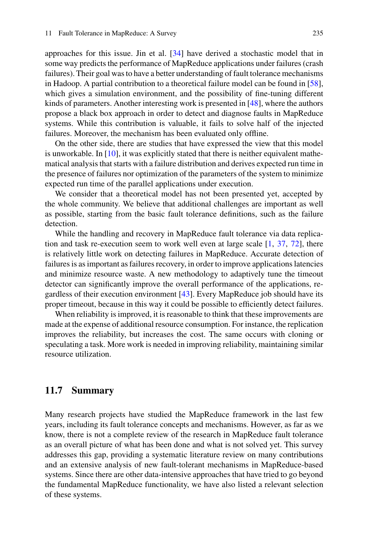approaches for this issue. Jin et al. [\[34\]](#page-33-6) have derived a stochastic model that in some way predicts the performance of MapReduce applications under failures (crash failures). Their goal was to have a better understanding of fault tolerance mechanisms in Hadoop. A partial contribution to a theoretical failure model can be found in [\[58](#page-34-6)], which gives a simulation environment, and the possibility of fine-tuning different kinds of parameters. Another interesting work is presented in [\[48\]](#page-34-7), where the authors propose a black box approach in order to detect and diagnose faults in MapReduce systems. While this contribution is valuable, it fails to solve half of the injected failures. Moreover, the mechanism has been evaluated only offline.

On the other side, there are studies that have expressed the view that this model is unworkable. In  $[10]$ , it was explicitly stated that there is neither equivalent mathematical analysis that starts with a failure distribution and derives expected run time in the presence of failures nor optimization of the parameters of the system to minimize expected run time of the parallel applications under execution.

We consider that a theoretical model has not been presented yet, accepted by the whole community. We believe that additional challenges are important as well as possible, starting from the basic fault tolerance definitions, such as the failure detection.

While the handling and recovery in MapReduce fault tolerance via data replication and task re-execution seem to work well even at large scale [\[1](#page-31-10), [37](#page-33-4), [72\]](#page-35-1), there is relatively little work on detecting failures in MapReduce. Accurate detection of failures is as important as failures recovery, in order to improve applications latencies and minimize resource waste. A new methodology to adaptively tune the timeout detector can significantly improve the overall performance of the applications, regardless of their execution environment [\[43](#page-33-12)]. Every MapReduce job should have its proper timeout, because in this way it could be possible to efficiently detect failures.

When reliability is improved, it is reasonable to think that these improvements are made at the expense of additional resource consumption. For instance, the replication improves the reliability, but increases the cost. The same occurs with cloning or speculating a task. More work is needed in improving reliability, maintaining similar resource utilization.

#### <span id="page-30-0"></span>**11.7 Summary**

Many research projects have studied the MapReduce framework in the last few years, including its fault tolerance concepts and mechanisms. However, as far as we know, there is not a complete review of the research in MapReduce fault tolerance as an overall picture of what has been done and what is not solved yet. This survey addresses this gap, providing a systematic literature review on many contributions and an extensive analysis of new fault-tolerant mechanisms in MapReduce-based systems. Since there are other data-intensive approaches that have tried to go beyond the fundamental MapReduce functionality, we have also listed a relevant selection of these systems.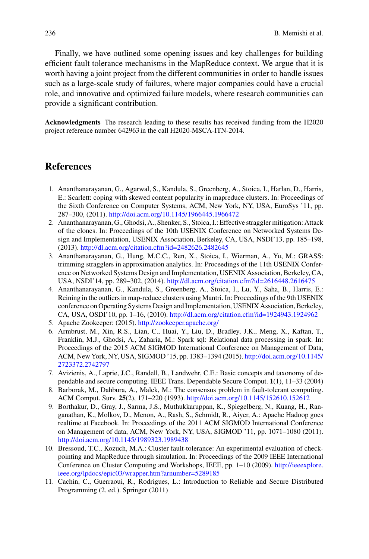Finally, we have outlined some opening issues and key challenges for building efficient fault tolerance mechanisms in the MapReduce context. We argue that it is worth having a joint project from the different communities in order to handle issues such as a large-scale study of failures, where major companies could have a crucial role, and innovative and optimized failure models, where research communities can provide a significant contribution.

**Acknowledgments** The research leading to these results has received funding from the H2020 project reference number 642963in the call H2020-MSCA-ITN-2014.

#### **References**

- <span id="page-31-10"></span>1. Ananthanarayanan, G., Agarwal, S., Kandula, S., Greenberg, A., Stoica, I., Harlan, D., Harris, E.: Scarlett: coping with skewed content popularity in mapreduce clusters. In: Proceedings of the Sixth Conference on Computer Systems, ACM, New York, NY, USA, EuroSys '11, pp. 287–300, (2011). <http://doi.acm.org/10.1145/1966445.1966472>
- <span id="page-31-8"></span>2. Ananthanarayanan, G., Ghodsi, A., Shenker, S., Stoica, I.: Effective straggler mitigation: Attack of the clones. In: Proceedings of the 10th USENIX Conference on Networked Systems Design and Implementation, USENIX Association, Berkeley, CA, USA, NSDI'13, pp. 185–198, (2013). <http://dl.acm.org/citation.cfm?id=2482626.2482645>
- <span id="page-31-6"></span>3. Ananthanarayanan, G., Hung, M.C.C., Ren, X., Stoica, I., Wierman, A., Yu, M.: GRASS: trimming stragglers in approximation analytics. In: Proceedings of the 11th USENIX Conference on Networked Systems Design and Implementation, USENIX Association, Berkeley, CA, USA, NSDI'14, pp. 289–302, (2014). <http://dl.acm.org/citation.cfm?id=2616448.2616475>
- <span id="page-31-4"></span>4. Ananthanarayanan, G., Kandula, S., Greenberg, A., Stoica, I., Lu, Y., Saha, B., Harris, E.: Reining in the outliers in map-reduce clusters using Mantri. In: Proceedings of the 9th USENIX conference on Operating Systems Design and Implementation, USENIX Association, Berkeley, CA, USA, OSDI'10, pp. 1–16, (2010). <http://dl.acm.org/citation.cfm?id=1924943.1924962>
- <span id="page-31-7"></span>5. Apache Zookeeper: (2015). <http://zookeeper.apache.org/>
- <span id="page-31-9"></span>6. Armbrust, M., Xin, R.S., Lian, C., Huai, Y., Liu, D., Bradley, J.K., Meng, X., Kaftan, T., Franklin, M.J., Ghodsi, A., Zaharia, M.: Spark sql: Relational data processing in spark. In: Proceedings of the 2015 ACM SIGMOD International Conference on Management of Data, ACM, New York, NY, USA, SIGMOD '15, pp. 1383–1394 (2015). [http://doi.acm.org/10.1145/](http://doi.acm.org/10.1145/2723372.2742797) [2723372.2742797](http://doi.acm.org/10.1145/2723372.2742797)
- <span id="page-31-0"></span>7. Avizienis, A., Laprie, J.C., Randell, B., Landwehr, C.E.: Basic concepts and taxonomy of dependable and secure computing. IEEE Trans. Dependable Secure Comput. **1**(1), 11–33 (2004)
- <span id="page-31-1"></span>8. Barborak, M., Dahbura, A., Malek, M.: The consensus problem in fault-tolerant computing. ACM Comput. Surv. **25**(2), 171–220 (1993). <http://doi.acm.org/10.1145/152610.152612>
- <span id="page-31-5"></span>9. Borthakur, D., Gray, J., Sarma, J.S., Muthukkaruppan, K., Spiegelberg, N., Kuang, H., Ranganathan, K., Molkov, D., Menon, A., Rash, S., Schmidt, R., Aiyer, A.: Apache Hadoop goes realtime at Facebook. In: Proceedings of the 2011 ACM SIGMOD International Conference on Management of data, ACM, New York, NY, USA, SIGMOD '11, pp. 1071–1080 (2011). <http://doi.acm.org/10.1145/1989323.1989438>
- <span id="page-31-3"></span>10. Bressoud, T.C., Kozuch, M.A.: Cluster fault-tolerance: An experimental evaluation of checkpointing and MapReduce through simulation. In: Proceedings of the 2009 IEEE International Conference on Cluster Computing and Workshops, IEEE, pp. 1–10 (2009). [http://ieeexplore.](http://ieeexplore.ieee.org/lpdocs/epic03/wrapper.htm?arnumber=5289185) [ieee.org/lpdocs/epic03/wrapper.htm?arnumber=5289185](http://ieeexplore.ieee.org/lpdocs/epic03/wrapper.htm?arnumber=5289185)
- <span id="page-31-2"></span>11. Cachin, C., Guerraoui, R., Rodrigues, L.: Introduction to Reliable and Secure Distributed Programming (2. ed.). Springer (2011)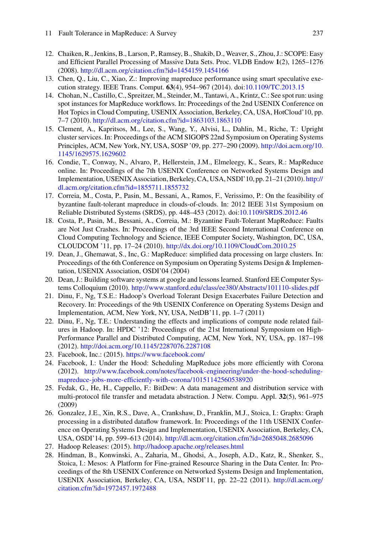- <span id="page-32-13"></span>12. Chaiken, R., Jenkins, B., Larson, P., Ramsey, B., Shakib, D., Weaver, S., Zhou, J.: SCOPE: Easy and Efficient Parallel Processing of Massive Data Sets. Proc. VLDB Endow **1**(2), 1265–1276 (2008). <http://dl.acm.org/citation.cfm?id=1454159.1454166>
- <span id="page-32-8"></span>13. Chen, Q., Liu, C., Xiao, Z.: Improving mapreduce performance using smart speculative execution strategy. IEEE Trans. Comput. **63**(4), 954–967 (2014). doi[:10.1109/TC.2013.15](http://dx.doi.org/10.1109/TC.2013.15)
- <span id="page-32-5"></span>14. Chohan, N., Castillo, C., Spreitzer, M., Steinder, M., Tantawi, A., Krintz, C.: See spot run: using spot instances for MapReduce workflows. In: Proceedings of the 2nd USENIX Conference on Hot Topics in Cloud Computing, USENIX Association, Berkeley, CA, USA, HotCloud'10, pp. 7–7 (2010). <http://dl.acm.org/citation.cfm?id=1863103.1863110>
- <span id="page-32-3"></span>15. Clement, A., Kapritsos, M., Lee, S., Wang, Y., Alvisi, L., Dahlin, M., Riche, T.: Upright cluster services. In: Proceedings of the ACM SIGOPS 22nd Symposium on Operating Systems Principles, ACM, New York, NY, USA, SOSP '09, pp. 277–290 (2009). [http://doi.acm.org/10.](http://doi.acm.org/10.1145/1629575.1629602) [1145/1629575.1629602](http://doi.acm.org/10.1145/1629575.1629602)
- <span id="page-32-4"></span>16. Condie, T., Conway, N., Alvaro, P., Hellerstein, J.M., Elmeleegy, K., Sears, R.: MapReduce online. In: Proceedings of the 7th USENIX Conference on Networked Systems Design and Implementation, USENIX Association, Berkeley, CA, USA, NSDI'10, pp. 21–21 (2010). [http://](http://dl.acm.org/citation.cfm?id=1855711.1855732) [dl.acm.org/citation.cfm?id=1855711.1855732](http://dl.acm.org/citation.cfm?id=1855711.1855732)
- <span id="page-32-10"></span>17. Correia, M., Costa, P., Pasin, M., Bessani, A., Ramos, F., Verissimo, P.: On the feasibility of byzantine fault-tolerant mapreduce in clouds-of-clouds. In: 2012 IEEE 31st Symposium on Reliable Distributed Systems (SRDS), pp. 448–453 (2012). doi[:10.1109/SRDS.2012.46](http://dx.doi.org/10.1109/SRDS.2012.46)
- <span id="page-32-6"></span>18. Costa, P., Pasin, M., Bessani, A., Correia, M.: Byzantine Fault-Tolerant MapReduce: Faults are Not Just Crashes. In: Proceedings of the 3rd IEEE Second International Conference on Cloud Computing Technology and Science, IEEE Computer Society, Washington, DC, USA, CLOUDCOM '11, pp. 17–24 (2010). <http://dx.doi.org/10.1109/CloudCom.2010.25>
- <span id="page-32-0"></span>19. Dean, J., Ghemawat, S., Inc, G.: MapReduce: simplified data processing on large clusters. In: Proceedings of the 6th Conference on Symposium on Operating Systems Design & Implementation, USENIX Association, OSDI'04 (2004)
- <span id="page-32-9"></span>20. Dean, J.: Building software systems at google and lessons learned. Stanford EE Computer Systems Colloquium (2010). <http://www.stanford.edu/class/ee380/Abstracts/101110-slides.pdf>
- <span id="page-32-16"></span>21. Dinu, F., Ng, T.S.E.: Hadoop's Overload Tolerant Design Exacerbates Failure Detection and Recovery. In: Proceedings of the 9th USENIX Conference on Operating Systems Design and Implementation, ACM, New York, NY, USA, NetDB'11, pp. 1–7 (2011)
- <span id="page-32-2"></span>22. Dinu, F., Ng, T.E.: Understanding the effects and implications of compute node related failures in Hadoop. In: HPDC '12: Proceedings of the 21st International Symposium on High-Performance Parallel and Distributed Computing, ACM, New York, NY, USA, pp. 187–198 (2012). <http://doi.acm.org/10.1145/2287076.2287108>
- <span id="page-32-1"></span>23. Facebook, Inc.: (2015). <https://www.facebook.com/>
- <span id="page-32-7"></span>24. Facebook, I.: Under the Hood: Scheduling MapReduce jobs more efficiently with Corona (2012). [http://www.facebook.com/notes/facebook-engineering/under-the-hood-scheduling](http://www.facebook.com/notes/facebook-engineering/under-the-hood-scheduling-mapreduce-jobs-more-efficiently-with-corona/10151142560538920)[mapreduce-jobs-more-efficiently-with-corona/10151142560538920](http://www.facebook.com/notes/facebook-engineering/under-the-hood-scheduling-mapreduce-jobs-more-efficiently-with-corona/10151142560538920)
- <span id="page-32-11"></span>25. Fedak, G., He, H., Cappello, F.: BitDew: A data management and distribution service with multi-protocol file transfer and metadata abstraction. J Netw. Compu. Appl. **32**(5), 961–975 (2009)
- <span id="page-32-15"></span>26. Gonzalez, J.E., Xin, R.S., Dave, A., Crankshaw, D., Franklin, M.J., Stoica, I.: Graphx: Graph processing in a distributed dataflow framework. In: Proceedings of the 11th USENIX Conference on Operating Systems Design and Implementation, USENIX Association, Berkeley, CA, USA, OSDI'14, pp. 599–613 (2014). <http://dl.acm.org/citation.cfm?id=2685048.2685096>
- <span id="page-32-12"></span>27. Hadoop Releases: (2015). <http://hadoop.apache.org/releases.html>
- <span id="page-32-14"></span>28. Hindman, B., Konwinski, A., Zaharia, M., Ghodsi, A., Joseph, A.D., Katz, R., Shenker, S., Stoica, I.: Mesos: A Platform for Fine-grained Resource Sharing in the Data Center. In: Proceedings of the 8th USENIX Conference on Networked Systems Design and Implementation, USENIX Association, Berkeley, CA, USA, NSDI'11, pp. 22–22 (2011). [http://dl.acm.org/](http://dl.acm.org/citation.cfm?id=1972457.1972488) [citation.cfm?id=1972457.1972488](http://dl.acm.org/citation.cfm?id=1972457.1972488)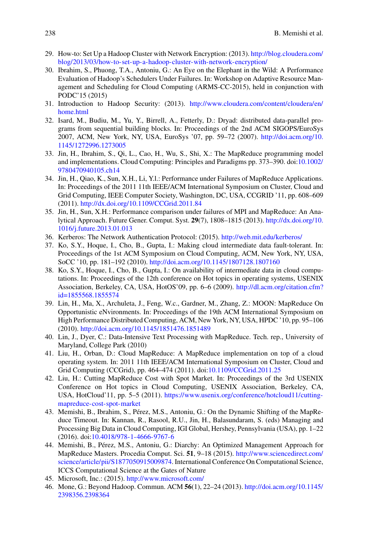- <span id="page-33-8"></span>29. How-to: Set Up a Hadoop Cluster with Network Encryption: (2013). [http://blog.cloudera.com/](http://blog.cloudera.com/blog/2013/03/how-to-set-up-a-hadoop-cluster-with-network-encryption/) [blog/2013/03/how-to-set-up-a-hadoop-cluster-with-network-encryption/](http://blog.cloudera.com/blog/2013/03/how-to-set-up-a-hadoop-cluster-with-network-encryption/)
- <span id="page-33-11"></span>30. Ibrahim, S., Phuong, T.A., Antoniu, G.: An Eye on the Elephant in the Wild: A Performance Evaluation of Hadoop's Schedulers Under Failures. In: Workshop on Adaptive Resource Management and Scheduling for Cloud Computing (ARMS-CC-2015), held in conjunction with PODC'15 (2015)
- <span id="page-33-16"></span>31. Introduction to Hadoop Security: (2013). [http://www.cloudera.com/content/cloudera/en/](http://www.cloudera.com/content/cloudera/en/home.html) [home.html](http://www.cloudera.com/content/cloudera/en/home.html)
- <span id="page-33-14"></span>32. Isard, M., Budiu, M., Yu, Y., Birrell, A., Fetterly, D.: Dryad: distributed data-parallel programs from sequential building blocks. In: Proceedings of the 2nd ACM SIGOPS/EuroSys 2007, ACM, New York, NY, USA, EuroSys '07, pp. 59–72 (2007). [http://doi.acm.org/10.](http://doi.acm.org/10.1145/1272996.1273005) [1145/1272996.1273005](http://doi.acm.org/10.1145/1272996.1273005)
- <span id="page-33-1"></span>33. Jin, H., Ibrahim, S., Qi, L., Cao, H., Wu, S., Shi, X.: The MapReduce programming model and implementations. Cloud Computing: Principles and Paradigms pp. 373–390. doi[:10.1002/](http://dx.doi.org/10.1002/9780470940105.ch14) [9780470940105.ch14](http://dx.doi.org/10.1002/9780470940105.ch14)
- <span id="page-33-6"></span>34. Jin, H., Qiao, K., Sun, X.H., Li, Y.l.: Performance under Failures of MapReduce Applications. In: Proceedings of the 2011 11th IEEE/ACM International Symposium on Cluster, Cloud and Grid Computing, IEEE Computer Society, Washington, DC, USA, CCGRID '11, pp. 608–609 (2011). <http://dx.doi.org/10.1109/CCGrid.2011.84>
- <span id="page-33-9"></span>35. Jin, H., Sun, X.H.: Performance comparison under failures of MPI and MapReduce: An Analytical Approach. Future Gener. Comput. Syst. **29**(7), 1808–1815 (2013). [http://dx.doi.org/10.](http://dx.doi.org/10.1016/j.future.2013.01.013) [1016/j.future.2013.01.013](http://dx.doi.org/10.1016/j.future.2013.01.013)
- <span id="page-33-17"></span>36. Kerberos: The Network Authentication Protocol: (2015). <http://web.mit.edu/kerberos/>
- <span id="page-33-4"></span>37. Ko, S.Y., Hoque, I., Cho, B., Gupta, I.: Making cloud intermediate data fault-tolerant. In: Proceedings of the 1st ACM Symposium on Cloud Computing, ACM, New York, NY, USA, SoCC '10, pp. 181–192 (2010). <http://doi.acm.org/10.1145/1807128.1807160>
- <span id="page-33-13"></span>38. Ko, S.Y., Hoque, I., Cho, B., Gupta, I.: On availability of intermediate data in cloud computations. In: Proceedings of the 12th conference on Hot topics in operating systems, USENIX Association, Berkeley, CA, USA, HotOS'09, pp. 6–6 (2009). [http://dl.acm.org/citation.cfm?](http://dl.acm.org/citation.cfm?id=1855568.1855574) [id=1855568.1855574](http://dl.acm.org/citation.cfm?id=1855568.1855574)
- <span id="page-33-3"></span>39. Lin, H., Ma, X., Archuleta, J., Feng, W.c., Gardner, M., Zhang, Z.: MOON: MapReduce On Opportunistic eNvironments. In: Proceedings of the 19th ACM International Symposium on High Performance Distributed Computing, ACM, New York, NY, USA, HPDC '10, pp. 95–106 (2010). <http://doi.acm.org/10.1145/1851476.1851489>
- <span id="page-33-15"></span>40. Lin, J., Dyer, C.: Data-Intensive Text Processing with MapReduce. Tech. rep., University of Maryland, College Park (2010)
- <span id="page-33-5"></span>41. Liu, H., Orban, D.: Cloud MapReduce: A MapReduce implementation on top of a cloud operating system. In: 2011 11th IEEE/ACM International Symposium on Cluster, Cloud and Grid Computing (CCGrid), pp. 464–474 (2011). doi[:10.1109/CCGrid.2011.25](http://dx.doi.org/10.1109/CCGrid.2011.25)
- <span id="page-33-7"></span>42. Liu, H.: Cutting MapReduce Cost with Spot Market. In: Proceedings of the 3rd USENIX Conference on Hot topics in Cloud Computing, USENIX Association, Berkeley, CA, USA, HotCloud'11, pp. 5–5 (2011). [https://www.usenix.org/conference/hotcloud11/cutting](https://www.usenix.org/conference/hotcloud11/cutting-mapreduce-cost-spot-market)[mapreduce-cost-spot-market](https://www.usenix.org/conference/hotcloud11/cutting-mapreduce-cost-spot-market)
- <span id="page-33-12"></span>43. Memishi, B., Ibrahim, S., Pérez, M.S., Antoniu, G.: On the Dynamic Shifting of the MapReduce Timeout. In: Kannan, R., Rasool, R.U., Jin, H., Balasundaram, S. (eds) Managing and Processing Big Data in Cloud Computing, IGI Global, Hershey, Pennsylvania (USA), pp. 1–22 (2016). doi[:10.4018/978-1-4666-9767-6](http://dx.doi.org/10.4018/978-1-4666-9767-6)
- <span id="page-33-10"></span>44. Memishi, B., Pérez, M.S., Antoniu, G.: Diarchy: An Optimized Management Approach for MapReduce Masters. Procedia Comput. Sci. **51**, 9–18 (2015). [http://www.sciencedirect.com/](http://www.sciencedirect.com/science/article/pii/S1877050915009874) [science/article/pii/S1877050915009874.](http://www.sciencedirect.com/science/article/pii/S1877050915009874) International Conference On Computational Science, ICCS Computational Science at the Gates of Nature
- 45. Microsoft, Inc.: (2015). <http://www.microsoft.com/>
- <span id="page-33-2"></span><span id="page-33-0"></span>46. Mone, G.: Beyond Hadoop. Commun. ACM **56**(1), 22–24 (2013). [http://doi.acm.org/10.1145/](http://doi.acm.org/10.1145/2398356.2398364) [2398356.2398364](http://doi.acm.org/10.1145/2398356.2398364)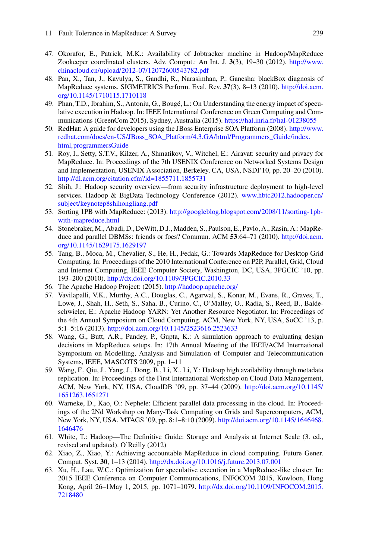- <span id="page-34-13"></span>47. Okorafor, E., Patrick, M.K.: Availability of Jobtracker machine in Hadoop/MapReduce Zookeeper coordinated clusters. Adv. Comput.: An Int. J. **3**(3), 19–30 (2012). [http://www.](http://www.chinacloud.cn/upload/2012-07/12072600543782.pdf) [chinacloud.cn/upload/2012-07/12072600543782.pdf](http://www.chinacloud.cn/upload/2012-07/12072600543782.pdf)
- <span id="page-34-7"></span>48. Pan, X., Tan, J., Kavulya, S., Gandhi, R., Narasimhan, P.: Ganesha: blackBox diagnosis of MapReduce systems. SIGMETRICS Perform. Eval. Rev. **37**(3), 8–13 (2010). [http://doi.acm.](http://doi.acm.org/10.1145/1710115.1710118) [org/10.1145/1710115.1710118](http://doi.acm.org/10.1145/1710115.1710118)
- <span id="page-34-12"></span>49. Phan, T.D., Ibrahim, S., Antoniu, G., Bougé, L.: On Understanding the energy impact of speculative execution in Hadoop. In: IEEE International Conference on Green Computing and Communications (GreenCom 2015), Sydney, Australia (2015). <https://hal.inria.fr/hal-01238055>
- <span id="page-34-0"></span>50. RedHat: A guide for developers using the JBoss Enterprise SOA Platform (2008). [http://www.](http://www.redhat.com/docs/en-US/JBoss_SOA_Platform/4.3.GA/html/Programmers_Guide/index.html, programmersGuide) [redhat.com/docs/en-US/JBoss\\_SOA\\_Platform/4.3.GA/html/Programmers\\_Guide/index.](http://www.redhat.com/docs/en-US/JBoss_SOA_Platform/4.3.GA/html/Programmers_Guide/index.html, programmersGuide) [html,programmersGuide](http://www.redhat.com/docs/en-US/JBoss_SOA_Platform/4.3.GA/html/Programmers_Guide/index.html, programmersGuide)
- <span id="page-34-4"></span>51. Roy, I., Setty, S.T.V., Kilzer, A., Shmatikov, V., Witchel, E.: Airavat: security and privacy for MapReduce. In: Proceedings of the 7th USENIX Conference on Networked Systems Design and Implementation, USENIX Association, Berkeley, CA, USA, NSDI'10, pp. 20–20 (2010). <http://dl.acm.org/citation.cfm?id=1855711.1855731>
- <span id="page-34-9"></span>52. Shih, J.: Hadoop security overview—from security infrastructure deployment to high-level services. Hadoop & BigData Technology Conference (2012). [www.hbtc2012.hadooper.cn/](www.hbtc2012.hadooper.cn/subject/keynotep8shihongliang.pdf) [subject/keynotep8shihongliang.pdf](www.hbtc2012.hadooper.cn/subject/keynotep8shihongliang.pdf)
- <span id="page-34-16"></span>53. Sorting 1PB with MapReduce: (2013). [http://googleblog.blogspot.com/2008/11/sorting-1pb](http://googleblog.blogspot.com/2008/11/sorting-1pb-with-mapreduce.html)[with-mapreduce.html](http://googleblog.blogspot.com/2008/11/sorting-1pb-with-mapreduce.html)
- <span id="page-34-1"></span>54. Stonebraker, M., Abadi, D., DeWitt, D.J., Madden, S., Paulson, E., Pavlo, A., Rasin, A.: MapReduce and parallel DBMSs: friends or foes? Commun. ACM **53**:64–71 (2010). [http://doi.acm.](http://doi.acm.org/10.1145/1629175.1629197) [org/10.1145/1629175.1629197](http://doi.acm.org/10.1145/1629175.1629197)
- <span id="page-34-8"></span>55. Tang, B., Moca, M., Chevalier, S., He, H., Fedak, G.: Towards MapReduce for Desktop Grid Computing. In: Proceedings of the 2010 International Conference on P2P, Parallel, Grid, Cloud and Internet Computing, IEEE Computer Society, Washington, DC, USA, 3PGCIC '10, pp. 193–200 (2010). <http://dx.doi.org/10.1109/3PGCIC.2010.33>
- <span id="page-34-2"></span>56. The Apache Hadoop Project: (2015). <http://hadoop.apache.org/>
- <span id="page-34-3"></span>57. Vavilapalli, V.K., Murthy, A.C., Douglas, C., Agarwal, S., Konar, M., Evans, R., Graves, T., Lowe, J., Shah, H., Seth, S., Saha, B., Curino, C., O'Malley, O., Radia, S., Reed, B., Baldeschwieler, E.: Apache Hadoop YARN: Yet Another Resource Negotiator. In: Proceedings of the 4th Annual Symposium on Cloud Computing, ACM, New York, NY, USA, SoCC '13, p. 5:1–5:16 (2013). <http://doi.acm.org/10.1145/2523616.2523633>
- <span id="page-34-6"></span>58. Wang, G., Butt, A.R., Pandey, P., Gupta, K.: A simulation approach to evaluating design decisions in MapReduce setups. In: 17th Annual Meeting of the IEEE/ACM International Symposium on Modelling, Analysis and Simulation of Computer and Telecommunication Systems, IEEE, MASCOTS 2009, pp. 1–11
- <span id="page-34-5"></span>59. Wang, F., Qiu, J., Yang, J., Dong, B., Li, X., Li, Y.: Hadoop high availability through metadata replication. In: Proceedings of the First International Workshop on Cloud Data Management, ACM, New York, NY, USA, CloudDB '09, pp. 37–44 (2009). [http://doi.acm.org/10.1145/](http://doi.acm.org/10.1145/1651263.1651271) [1651263.1651271](http://doi.acm.org/10.1145/1651263.1651271)
- <span id="page-34-15"></span>60. Warneke, D., Kao, O.: Nephele: Efficient parallel data processing in the cloud. In: Proceedings of the 2Nd Workshop on Many-Task Computing on Grids and Supercomputers, ACM, New York, NY, USA, MTAGS '09, pp. 8:1–8:10 (2009). [http://doi.acm.org/10.1145/1646468.](http://doi.acm.org/10.1145/1646468.1646476) [1646476](http://doi.acm.org/10.1145/1646468.1646476)
- <span id="page-34-14"></span>61. White, T.: Hadoop—The Definitive Guide: Storage and Analysis at Internet Scale (3. ed., revised and updated). O'Reilly (2012)
- <span id="page-34-10"></span>62. Xiao, Z., Xiao, Y.: Achieving accountable MapReduce in cloud computing. Future Gener. Comput. Syst. **30**, 1–13 (2014). <http://dx.doi.org/10.1016/j.future.2013.07.001>
- <span id="page-34-11"></span>63. Xu, H., Lau, W.C.: Optimization for speculative execution in a MapReduce-like cluster. In: 2015 IEEE Conference on Computer Communications, INFOCOM 2015, Kowloon, Hong Kong, April 26–1May 1, 2015, pp. 1071–1079. [http://dx.doi.org/10.1109/INFOCOM.2015.](http://dx.doi.org/10.1109/INFOCOM.2015.7218480) [7218480](http://dx.doi.org/10.1109/INFOCOM.2015.7218480)